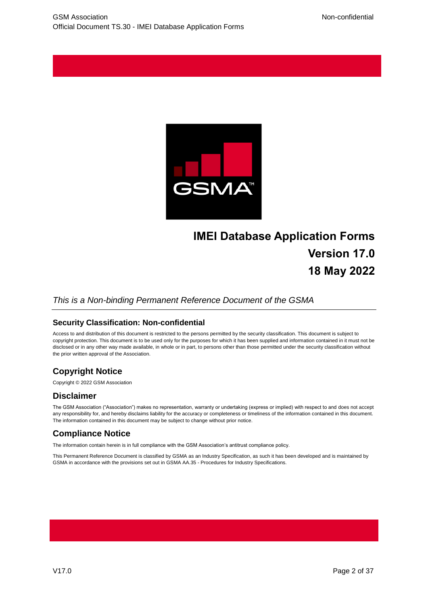

# **IMEI Database Application Forms Version 17.0 18 May 2022**

#### *This is a Non-binding Permanent Reference Document of the GSMA*

#### **Security Classification: Non-confidential**

Access to and distribution of this document is restricted to the persons permitted by the security classification. This document is subject to copyright protection. This document is to be used only for the purposes for which it has been supplied and information contained in it must not be disclosed or in any other way made available, in whole or in part, to persons other than those permitted under the security classification without the prior written approval of the Association.

## **Copyright Notice**

Copyright © 2022 GSM Association

#### **Disclaimer**

The GSM Association ("Association") makes no representation, warranty or undertaking (express or implied) with respect to and does not accept any responsibility for, and hereby disclaims liability for the accuracy or completeness or timeliness of the information contained in this document. The information contained in this document may be subject to change without prior notice.

## **Compliance Notice**

The information contain herein is in full compliance with the GSM Association's antitrust compliance policy.

This Permanent Reference Document is classified by GSMA as an Industry Specification, as such it has been developed and is maintained by GSMA in accordance with the provisions set out in GSMA AA.35 - Procedures for Industry Specifications.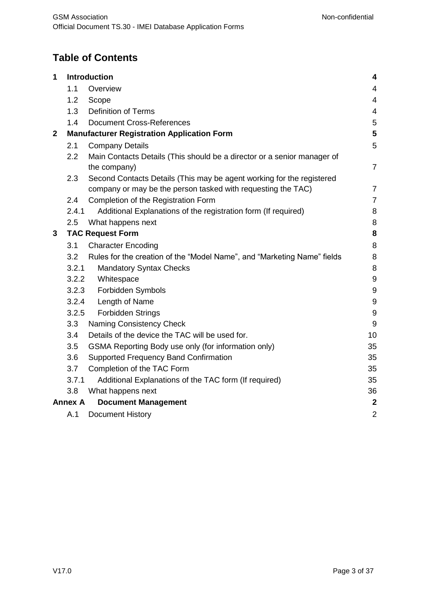# **Table of Contents**

| 1 |                | Introduction                                                            | $\overline{\mathbf{4}}$ |
|---|----------------|-------------------------------------------------------------------------|-------------------------|
|   | 1.1            | Overview                                                                | 4                       |
|   | 1.2            | Scope                                                                   | 4                       |
|   | 1.3            | <b>Definition of Terms</b>                                              | 4                       |
|   | 1.4            | <b>Document Cross-References</b>                                        | 5                       |
| 2 |                | <b>Manufacturer Registration Application Form</b>                       | 5                       |
|   | 2.1            | <b>Company Details</b>                                                  | 5                       |
|   | 2.2            | Main Contacts Details (This should be a director or a senior manager of |                         |
|   |                | the company)                                                            | $\overline{7}$          |
|   | 2.3            | Second Contacts Details (This may be agent working for the registered   |                         |
|   |                | company or may be the person tasked with requesting the TAC)            | $\overline{7}$          |
|   | 2.4            | Completion of the Registration Form                                     | $\overline{7}$          |
|   | 2.4.1          | Additional Explanations of the registration form (If required)          | 8                       |
|   | 2.5            | What happens next                                                       | 8                       |
| 3 |                | <b>TAC Request Form</b>                                                 | 8                       |
|   | 3.1            | <b>Character Encoding</b>                                               | 8                       |
|   | 3.2            | Rules for the creation of the "Model Name", and "Marketing Name" fields | 8                       |
|   | 3.2.1          | <b>Mandatory Syntax Checks</b>                                          | 8                       |
|   | 3.2.2          | Whitespace                                                              | 9                       |
|   | 3.2.3          | Forbidden Symbols                                                       | 9                       |
|   | 3.2.4          | Length of Name                                                          | $9\,$                   |
|   | 3.2.5          | <b>Forbidden Strings</b>                                                | $9\,$                   |
|   | 3.3            | Naming Consistency Check                                                | 9                       |
|   | 3.4            | Details of the device the TAC will be used for.                         | 10                      |
|   | 3.5            | GSMA Reporting Body use only (for information only)                     | 35                      |
|   | 3.6            | <b>Supported Frequency Band Confirmation</b>                            | 35                      |
|   | 3.7            | Completion of the TAC Form                                              | 35                      |
|   | 3.7.1          | Additional Explanations of the TAC form (If required)                   | 35                      |
|   | 3.8            | What happens next                                                       | 36                      |
|   | <b>Annex A</b> | <b>Document Management</b>                                              | $\boldsymbol{2}$        |
|   | A.1            | <b>Document History</b>                                                 | $\overline{2}$          |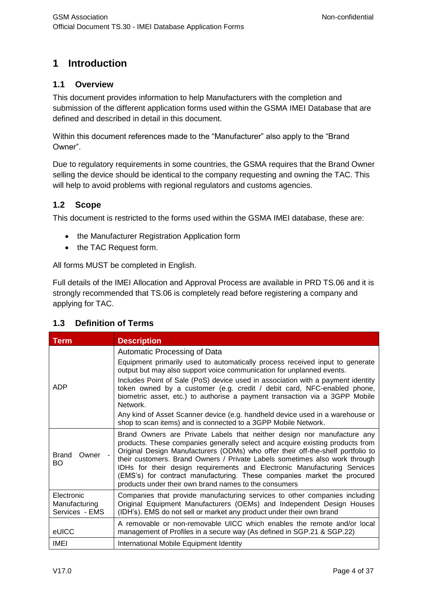# <span id="page-2-0"></span>**1 Introduction**

#### <span id="page-2-1"></span>**1.1 Overview**

This document provides information to help Manufacturers with the completion and submission of the different application forms used within the GSMA IMEI Database that are defined and described in detail in this document.

Within this document references made to the "Manufacturer" also apply to the "Brand Owner".

Due to regulatory requirements in some countries, the GSMA requires that the Brand Owner selling the device should be identical to the company requesting and owning the TAC. This will help to avoid problems with regional regulators and customs agencies.

#### <span id="page-2-2"></span>**1.2 Scope**

This document is restricted to the forms used within the GSMA IMEI database, these are:

- the Manufacturer Registration Application form
- the TAC Request form.

All forms MUST be completed in English.

Full details of the IMEI Allocation and Approval Process are available in PRD TS.06 and it is strongly recommended that TS.06 is completely read before registering a company and applying for TAC.

| <b>Term</b>                                   | <b>Description</b>                                                                                                                                                                                                                                                                                                                                                                                                                                                                                                                                                                               |
|-----------------------------------------------|--------------------------------------------------------------------------------------------------------------------------------------------------------------------------------------------------------------------------------------------------------------------------------------------------------------------------------------------------------------------------------------------------------------------------------------------------------------------------------------------------------------------------------------------------------------------------------------------------|
| ADP                                           | Automatic Processing of Data<br>Equipment primarily used to automatically process received input to generate<br>output but may also support voice communication for unplanned events.<br>Includes Point of Sale (PoS) device used in association with a payment identity<br>token owned by a customer (e.g. credit / debit card, NFC-enabled phone,<br>biometric asset, etc.) to authorise a payment transaction via a 3GPP Mobile<br>Network<br>Any kind of Asset Scanner device (e.g. handheld device used in a warehouse or<br>shop to scan items) and is connected to a 3GPP Mobile Network. |
| Brand<br>Owner<br>BO.                         | Brand Owners are Private Labels that neither design nor manufacture any<br>products. These companies generally select and acquire existing products from<br>Original Design Manufacturers (ODMs) who offer their off-the-shelf portfolio to<br>their customers. Brand Owners / Private Labels sometimes also work through<br>IDHs for their design requirements and Electronic Manufacturing Services<br>(EMS's) for contract manufacturing. These companies market the procured<br>products under their own brand names to the consumers                                                        |
| Electronic<br>Manufacturing<br>Services - EMS | Companies that provide manufacturing services to other companies including<br>Original Equipment Manufacturers (OEMs) and Independent Design Houses<br>(IDH's). EMS do not sell or market any product under their own brand                                                                                                                                                                                                                                                                                                                                                                      |
| eUICC                                         | A removable or non-removable UICC which enables the remote and/or local<br>management of Profiles in a secure way (As defined in SGP.21 & SGP.22)                                                                                                                                                                                                                                                                                                                                                                                                                                                |
| IMEI                                          | International Mobile Equipment Identity                                                                                                                                                                                                                                                                                                                                                                                                                                                                                                                                                          |

#### <span id="page-2-3"></span>**1.3 Definition of Terms**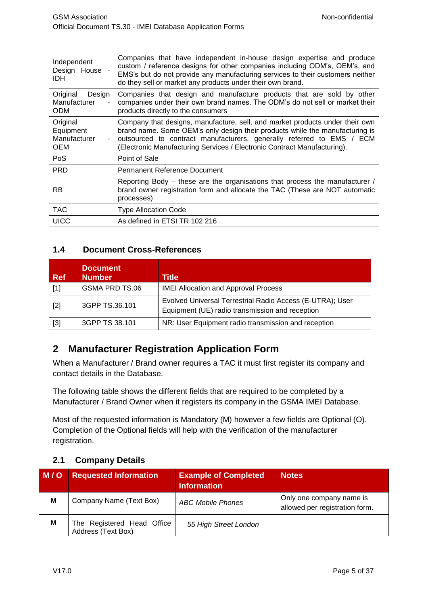| Independent<br>Design House -<br>IDH.               | Companies that have independent in-house design expertise and produce<br>custom / reference designs for other companies including ODM's, OEM's, and<br>EMS's but do not provide any manufacturing services to their customers neither<br>do they sell or market any products under their own brand.               |
|-----------------------------------------------------|-------------------------------------------------------------------------------------------------------------------------------------------------------------------------------------------------------------------------------------------------------------------------------------------------------------------|
| Original<br>Design<br>Manufacturer<br><b>ODM</b>    | Companies that design and manufacture products that are sold by other<br>companies under their own brand names. The ODM's do not sell or market their<br>products directly to the consumers                                                                                                                       |
| Original<br>Equipment<br>Manufacturer<br><b>OEM</b> | Company that designs, manufacture, sell, and market products under their own<br>brand name. Some OEM's only design their products while the manufacturing is<br>outsourced to contract manufacturers, generally referred to EMS / ECM<br>(Electronic Manufacturing Services / Electronic Contract Manufacturing). |
| <b>PoS</b>                                          | Point of Sale                                                                                                                                                                                                                                                                                                     |
| <b>PRD</b>                                          | <b>Permanent Reference Document</b>                                                                                                                                                                                                                                                                               |
| RB                                                  | Reporting Body – these are the organisations that process the manufacturer /<br>brand owner registration form and allocate the TAC (These are NOT automatic<br>processes)                                                                                                                                         |
| <b>TAC</b>                                          | <b>Type Allocation Code</b>                                                                                                                                                                                                                                                                                       |
| <b>UICC</b>                                         | As defined in ETSI TR 102 216                                                                                                                                                                                                                                                                                     |

### <span id="page-3-0"></span>**1.4 Document Cross-References**

| <b>Ref</b>        | <b>Document</b><br><b>Number</b> | Title                                                                                                        |
|-------------------|----------------------------------|--------------------------------------------------------------------------------------------------------------|
| [1]               | GSMA PRD TS.06                   | <b>IMEI Allocation and Approval Process</b>                                                                  |
| $[2]$             | 3GPP TS.36.101                   | Evolved Universal Terrestrial Radio Access (E-UTRA); User<br>Equipment (UE) radio transmission and reception |
| $\lceil 3 \rceil$ | 3GPP TS 38.101                   | NR: User Equipment radio transmission and reception                                                          |

# <span id="page-3-1"></span>**2 Manufacturer Registration Application Form**

When a Manufacturer / Brand owner requires a TAC it must first register its company and contact details in the Database.

The following table shows the different fields that are required to be completed by a Manufacturer / Brand Owner when it registers its company in the GSMA IMEI Database.

Most of the requested information is Mandatory (M) however a few fields are Optional (O). Completion of the Optional fields will help with the verification of the manufacturer registration.

## <span id="page-3-2"></span>**2.1 Company Details**

| M/O | <b>Requested Information</b>                     | <b>Example of Completed</b><br><b>Information</b> | <b>Notes</b>                                               |
|-----|--------------------------------------------------|---------------------------------------------------|------------------------------------------------------------|
| M   | Company Name (Text Box)                          | <b>ABC Mobile Phones</b>                          | Only one company name is<br>allowed per registration form. |
| M   | The Registered Head Office<br>Address (Text Box) | 55 High Street London                             |                                                            |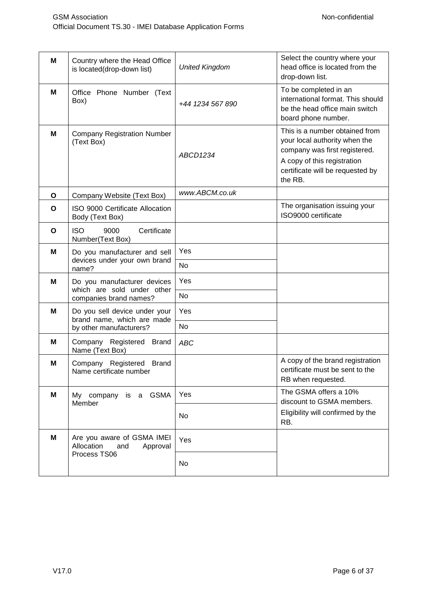| M | Country where the Head Office<br>is located(drop-down list) | <b>United Kingdom</b> | Select the country where your<br>head office is located from the<br>drop-down list.                                                                                            |
|---|-------------------------------------------------------------|-----------------------|--------------------------------------------------------------------------------------------------------------------------------------------------------------------------------|
| M | Office Phone Number (Text<br>Box)                           | +44 1234 567 890      | To be completed in an<br>international format. This should<br>be the head office main switch<br>board phone number.                                                            |
| M | <b>Company Registration Number</b><br>(Text Box)            | ABCD1234              | This is a number obtained from<br>your local authority when the<br>company was first registered.<br>A copy of this registration<br>certificate will be requested by<br>the RB. |
| O | Company Website (Text Box)                                  | www.ABCM.co.uk        |                                                                                                                                                                                |
| O | ISO 9000 Certificate Allocation<br>Body (Text Box)          |                       | The organisation issuing your<br>ISO9000 certificate                                                                                                                           |
| O | <b>ISO</b><br>Certificate<br>9000<br>Number(Text Box)       |                       |                                                                                                                                                                                |
| M | Do you manufacturer and sell                                | Yes                   |                                                                                                                                                                                |
|   | devices under your own brand<br>name?                       | <b>No</b>             |                                                                                                                                                                                |
| M | Do you manufacturer devices<br>which are sold under other   | Yes<br><b>No</b>      |                                                                                                                                                                                |
|   | companies brand names?                                      |                       |                                                                                                                                                                                |
| М | Do you sell device under your<br>brand name, which are made | Yes                   |                                                                                                                                                                                |
|   | by other manufacturers?                                     | <b>No</b>             |                                                                                                                                                                                |
| M | Company Registered Brand<br>Name (Text Box)                 | <b>ABC</b>            |                                                                                                                                                                                |
| М | Company Registered Brand<br>Name certificate number         |                       | A copy of the brand registration<br>certificate must be sent to the<br>RB when requested.                                                                                      |
| Μ | is a GSMA<br>My company<br>Member                           | Yes                   | The GSMA offers a 10%<br>discount to GSMA members.                                                                                                                             |
|   |                                                             | No                    | Eligibility will confirmed by the<br>RB.                                                                                                                                       |
| M | Are you aware of GSMA IMEI<br>Allocation<br>and<br>Approval | Yes                   |                                                                                                                                                                                |
|   | Process TS06                                                | No                    |                                                                                                                                                                                |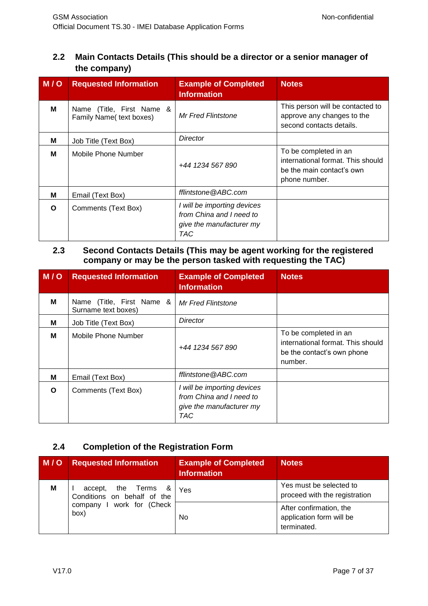# <span id="page-5-0"></span>**2.2 Main Contacts Details (This should be a director or a senior manager of the company)**

| M/O | <b>Requested Information</b>                          | <b>Example of Completed</b><br><b>Information</b>                                          | <b>Notes</b>                                                                                             |
|-----|-------------------------------------------------------|--------------------------------------------------------------------------------------------|----------------------------------------------------------------------------------------------------------|
| м   | Name (Title, First Name &<br>Family Name( text boxes) | <b>Mr Fred Flintstone</b>                                                                  | This person will be contacted to<br>approve any changes to the<br>second contacts details.               |
| м   | Job Title (Text Box)                                  | Director                                                                                   |                                                                                                          |
| м   | Mobile Phone Number                                   | +44 1234 567 890                                                                           | To be completed in an<br>international format. This should<br>be the main contact's own<br>phone number. |
| м   | Email (Text Box)                                      | fflintstone@ABC.com                                                                        |                                                                                                          |
| Ω   | Comments (Text Box)                                   | I will be importing devices<br>from China and I need to<br>give the manufacturer my<br>TAC |                                                                                                          |

#### <span id="page-5-1"></span>**2.3 Second Contacts Details (This may be agent working for the registered company or may be the person tasked with requesting the TAC)**

| <b>M/O</b> | <b>Requested Information</b>                     | <b>Example of Completed</b><br><b>Information</b>                                          | <b>Notes</b>                                                                                        |
|------------|--------------------------------------------------|--------------------------------------------------------------------------------------------|-----------------------------------------------------------------------------------------------------|
| м          | Name (Title, First Name &<br>Surname text boxes) | Mr Fred Flintstone                                                                         |                                                                                                     |
| м          | Job Title (Text Box)                             | Director                                                                                   |                                                                                                     |
| м          | Mobile Phone Number                              | +44 1234 567 890                                                                           | To be completed in an<br>international format. This should<br>be the contact's own phone<br>number. |
| М          | Email (Text Box)                                 | fflintstone@ABC.com                                                                        |                                                                                                     |
| O          | Comments (Text Box)                              | I will be importing devices<br>from China and I need to<br>give the manufacturer my<br>TAC |                                                                                                     |

# <span id="page-5-2"></span>**2.4 Completion of the Registration Form**

| M/O | <b>Requested Information</b>                       | <b>Example of Completed</b><br><b>Information</b> | <b>Notes</b>                                                       |
|-----|----------------------------------------------------|---------------------------------------------------|--------------------------------------------------------------------|
| M   | accept, the Terms &<br>Conditions on behalf of the | Yes                                               | Yes must be selected to<br>proceed with the registration           |
|     | company I work for (Check<br>box)                  | No                                                | After confirmation, the<br>application form will be<br>terminated. |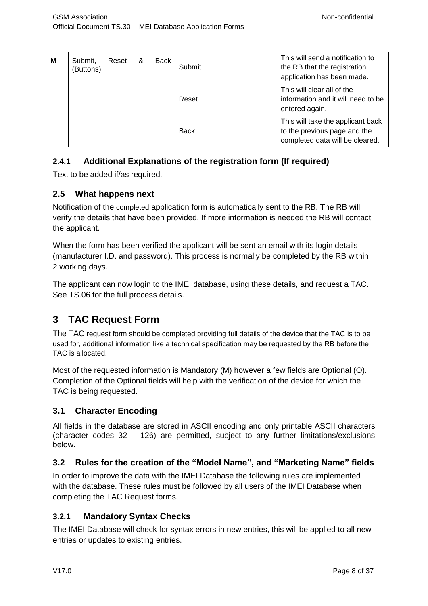| M | Submit.<br>(Buttons) | Reset | & | Back | Submit      | This will send a notification to<br>the RB that the registration<br>application has been made.       |
|---|----------------------|-------|---|------|-------------|------------------------------------------------------------------------------------------------------|
|   |                      |       |   |      | Reset       | This will clear all of the<br>information and it will need to be<br>entered again.                   |
|   |                      |       |   |      | <b>Back</b> | This will take the applicant back<br>to the previous page and the<br>completed data will be cleared. |

## <span id="page-6-0"></span>**2.4.1 Additional Explanations of the registration form (If required)**

Text to be added if/as required.

#### <span id="page-6-1"></span>**2.5 What happens next**

Notification of the completed application form is automatically sent to the RB. The RB will verify the details that have been provided. If more information is needed the RB will contact the applicant.

When the form has been verified the applicant will be sent an email with its login details (manufacturer I.D. and password). This process is normally be completed by the RB within 2 working days.

The applicant can now login to the IMEI database, using these details, and request a TAC. See TS.06 for the full process details.

# <span id="page-6-2"></span>**3 TAC Request Form**

The TAC request form should be completed providing full details of the device that the TAC is to be used for, additional information like a technical specification may be requested by the RB before the TAC is allocated.

Most of the requested information is Mandatory (M) however a few fields are Optional (O). Completion of the Optional fields will help with the verification of the device for which the TAC is being requested.

#### <span id="page-6-3"></span>**3.1 Character Encoding**

All fields in the database are stored in ASCII encoding and only printable ASCII characters (character codes 32 – 126) are permitted, subject to any further limitations/exclusions below.

#### <span id="page-6-4"></span>**3.2 Rules for the creation of the "Model Name", and "Marketing Name" fields**

In order to improve the data with the IMEI Database the following rules are implemented with the database. These rules must be followed by all users of the IMEI Database when completing the TAC Request forms.

#### <span id="page-6-5"></span>**3.2.1 Mandatory Syntax Checks**

The IMEI Database will check for syntax errors in new entries, this will be applied to all new entries or updates to existing entries.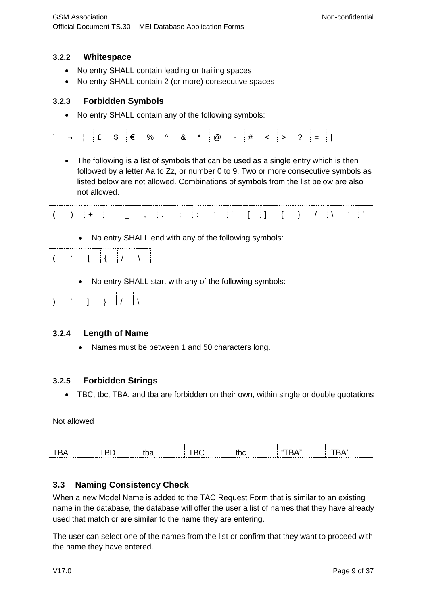#### <span id="page-7-0"></span>**3.2.2 Whitespace**

- No entry SHALL contain leading or trailing spaces
- No entry SHALL contain 2 (or more) consecutive spaces

#### <span id="page-7-1"></span>**3.2.3 Forbidden Symbols**

• No entry SHALL contain any of the following symbols:

• The following is a list of symbols that can be used as a single entry which is then followed by a letter Aa to Zz, or number 0 to 9. Two or more consecutive symbols as listed below are not allowed. Combinations of symbols from the list below are also not allowed.

| the contract of the contract of the contract of the contract of the contract of the contract of the contract of<br>the contract of the contract of the contract of the contract of the contract of the contract of the contract of<br>. |
|-----------------------------------------------------------------------------------------------------------------------------------------------------------------------------------------------------------------------------------------|

No entry SHALL end with any of the following symbols:

|  |  | . |  |
|--|--|---|--|
|  |  |   |  |

• No entry SHALL start with any of the following symbols:

|--|

#### <span id="page-7-2"></span>**3.2.4 Length of Name**

• Names must be between 1 and 50 characters long.

#### <span id="page-7-3"></span>**3.2.5 Forbidden Strings**

• TBC, tbc, TBA, and tba are forbidden on their own, within single or double quotations

Not allowed

| ๛<br>JU U<br>. . |  |  |  |  |
|------------------|--|--|--|--|
|                  |  |  |  |  |
|                  |  |  |  |  |

#### <span id="page-7-4"></span>**3.3 Naming Consistency Check**

When a new Model Name is added to the TAC Request Form that is similar to an existing name in the database, the database will offer the user a list of names that they have already used that match or are similar to the name they are entering.

The user can select one of the names from the list or confirm that they want to proceed with the name they have entered.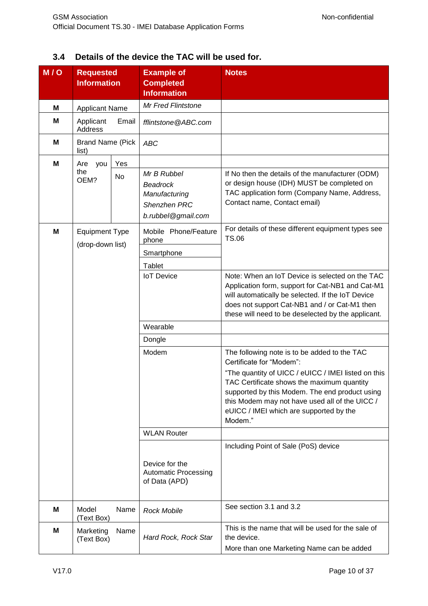# <span id="page-8-0"></span>**3.4 Details of the device the TAC will be used for.**

| M/O | <b>Requested</b><br><b>Information</b>    |       | <b>Example of</b><br><b>Completed</b><br><b>Information</b>                           | <b>Notes</b>                                                                                                                                                                                                                                                                                                                            |
|-----|-------------------------------------------|-------|---------------------------------------------------------------------------------------|-----------------------------------------------------------------------------------------------------------------------------------------------------------------------------------------------------------------------------------------------------------------------------------------------------------------------------------------|
|     |                                           |       |                                                                                       |                                                                                                                                                                                                                                                                                                                                         |
| M   | <b>Applicant Name</b>                     |       | Mr Fred Flintstone                                                                    |                                                                                                                                                                                                                                                                                                                                         |
| M   | Applicant<br><b>Address</b>               | Email | fflintstone@ABC.com                                                                   |                                                                                                                                                                                                                                                                                                                                         |
| M   | <b>Brand Name (Pick</b><br>list)          |       | <b>ABC</b>                                                                            |                                                                                                                                                                                                                                                                                                                                         |
| M   | Are<br>you                                | Yes   |                                                                                       |                                                                                                                                                                                                                                                                                                                                         |
|     | the<br>OEM?                               | No    | Mr B Rubbel<br><b>Beadrock</b><br>Manufacturing<br>Shenzhen PRC<br>b.rubbel@gmail.com | If No then the details of the manufacturer (ODM)<br>or design house (IDH) MUST be completed on<br>TAC application form (Company Name, Address,<br>Contact name, Contact email)                                                                                                                                                          |
| M   | <b>Equipment Type</b><br>(drop-down list) |       | Mobile Phone/Feature<br>phone<br>Smartphone<br><b>Tablet</b>                          | For details of these different equipment types see<br><b>TS.06</b>                                                                                                                                                                                                                                                                      |
|     |                                           |       | <b>IoT</b> Device                                                                     | Note: When an IoT Device is selected on the TAC<br>Application form, support for Cat-NB1 and Cat-M1<br>will automatically be selected. If the IoT Device<br>does not support Cat-NB1 and / or Cat-M1 then<br>these will need to be deselected by the applicant.                                                                         |
|     |                                           |       | Wearable                                                                              |                                                                                                                                                                                                                                                                                                                                         |
|     |                                           |       | Dongle                                                                                |                                                                                                                                                                                                                                                                                                                                         |
|     |                                           |       | Modem                                                                                 | The following note is to be added to the TAC<br>Certificate for "Modem":<br>"The quantity of UICC / eUICC / IMEI listed on this<br>TAC Certificate shows the maximum quantity<br>supported by this Modem. The end product using<br>this Modem may not have used all of the UICC /<br>eUICC / IMEI which are supported by the<br>Modem." |
|     |                                           |       | <b>WLAN Router</b>                                                                    |                                                                                                                                                                                                                                                                                                                                         |
|     |                                           |       |                                                                                       | Including Point of Sale (PoS) device                                                                                                                                                                                                                                                                                                    |
|     |                                           |       | Device for the<br><b>Automatic Processing</b><br>of Data (APD)                        |                                                                                                                                                                                                                                                                                                                                         |
| М   | Model<br>(Text Box)                       | Name  | <b>Rock Mobile</b>                                                                    | See section 3.1 and 3.2                                                                                                                                                                                                                                                                                                                 |
| M   | Marketing<br>(Text Box)                   | Name  | Hard Rock, Rock Star                                                                  | This is the name that will be used for the sale of<br>the device.<br>More than one Marketing Name can be added                                                                                                                                                                                                                          |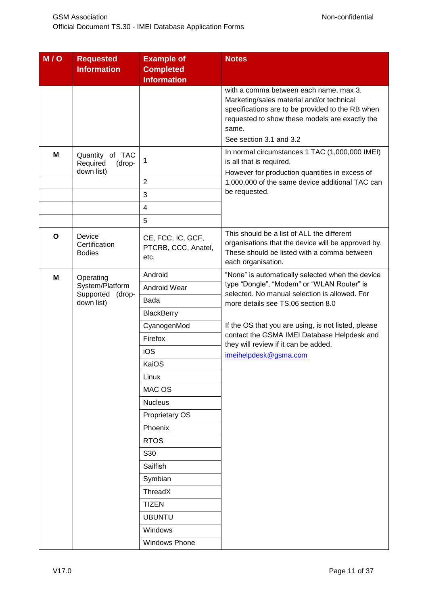| M/O            | <b>Requested</b><br><b>Information</b>                 | <b>Example of</b><br><b>Completed</b><br><b>Information</b> | <b>Notes</b>                                                                                                                                                                                                                  |
|----------------|--------------------------------------------------------|-------------------------------------------------------------|-------------------------------------------------------------------------------------------------------------------------------------------------------------------------------------------------------------------------------|
|                |                                                        |                                                             | with a comma between each name, max 3.<br>Marketing/sales material and/or technical<br>specifications are to be provided to the RB when<br>requested to show these models are exactly the<br>same.<br>See section 3.1 and 3.2 |
| М              | Quantity<br>of TAC<br>Required<br>(drop-<br>down list) | 1                                                           | In normal circumstances 1 TAC (1,000,000 IMEI)<br>is all that is required.<br>However for production quantities in excess of                                                                                                  |
|                |                                                        | $\overline{2}$                                              | 1,000,000 of the same device additional TAC can                                                                                                                                                                               |
|                |                                                        | 3                                                           | be requested.                                                                                                                                                                                                                 |
|                |                                                        | 4                                                           |                                                                                                                                                                                                                               |
|                |                                                        | $\overline{5}$                                              |                                                                                                                                                                                                                               |
| O              | Device<br>Certification<br><b>Bodies</b>               | CE, FCC, IC, GCF,<br>PTCRB, CCC, Anatel,<br>etc.            | This should be a list of ALL the different<br>organisations that the device will be approved by.<br>These should be listed with a comma between<br>each organisation.                                                         |
| M<br>Operating | Android                                                | "None" is automatically selected when the device            |                                                                                                                                                                                                                               |
|                | System/Platform                                        | Android Wear                                                | type "Dongle", "Modem" or "WLAN Router" is<br>selected. No manual selection is allowed. For                                                                                                                                   |
|                | Supported<br>(drop-<br>down list)                      | Bada                                                        | more details see TS.06 section 8.0                                                                                                                                                                                            |
|                |                                                        | <b>BlackBerry</b>                                           |                                                                                                                                                                                                                               |
|                |                                                        | CyanogenMod                                                 | If the OS that you are using, is not listed, please                                                                                                                                                                           |
|                |                                                        | Firefox                                                     | contact the GSMA IMEI Database Helpdesk and<br>they will review if it can be added.                                                                                                                                           |
|                |                                                        | iOS                                                         | imeihelpdesk@gsma.com                                                                                                                                                                                                         |
|                |                                                        | KaiOS                                                       |                                                                                                                                                                                                                               |
|                |                                                        | Linux                                                       |                                                                                                                                                                                                                               |
|                |                                                        | MAC OS                                                      |                                                                                                                                                                                                                               |
|                |                                                        | <b>Nucleus</b>                                              |                                                                                                                                                                                                                               |
|                |                                                        | Proprietary OS                                              |                                                                                                                                                                                                                               |
|                |                                                        | Phoenix                                                     |                                                                                                                                                                                                                               |
|                |                                                        | <b>RTOS</b>                                                 |                                                                                                                                                                                                                               |
|                |                                                        | S30                                                         |                                                                                                                                                                                                                               |
|                |                                                        | Sailfish                                                    |                                                                                                                                                                                                                               |
|                |                                                        | Symbian                                                     |                                                                                                                                                                                                                               |
|                |                                                        | ThreadX                                                     |                                                                                                                                                                                                                               |
|                |                                                        | <b>TIZEN</b>                                                |                                                                                                                                                                                                                               |
|                |                                                        | <b>UBUNTU</b>                                               |                                                                                                                                                                                                                               |
|                |                                                        | Windows                                                     |                                                                                                                                                                                                                               |
|                |                                                        | <b>Windows Phone</b>                                        |                                                                                                                                                                                                                               |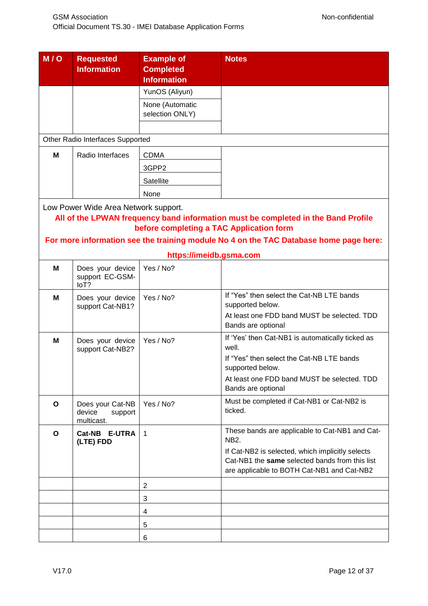| M/O | <b>Requested</b>                                    | <b>Example of</b>                        | <b>Notes</b>                                                                          |
|-----|-----------------------------------------------------|------------------------------------------|---------------------------------------------------------------------------------------|
|     | <b>Information</b>                                  | <b>Completed</b>                         |                                                                                       |
|     |                                                     | <b>Information</b>                       |                                                                                       |
|     |                                                     | YunOS (Aliyun)                           |                                                                                       |
|     |                                                     | None (Automatic<br>selection ONLY)       |                                                                                       |
|     |                                                     |                                          |                                                                                       |
|     | Other Radio Interfaces Supported                    |                                          |                                                                                       |
| M   | Radio Interfaces                                    | <b>CDMA</b>                              |                                                                                       |
|     |                                                     | 3GPP2                                    |                                                                                       |
|     |                                                     | Satellite                                |                                                                                       |
|     |                                                     | None                                     |                                                                                       |
|     | Low Power Wide Area Network support.                |                                          |                                                                                       |
|     |                                                     |                                          | All of the LPWAN frequency band information must be completed in the Band Profile     |
|     |                                                     | before completing a TAC Application form |                                                                                       |
|     |                                                     |                                          | For more information see the training module No 4 on the TAC Database home page here: |
|     |                                                     | https://imeidb.gsma.com                  |                                                                                       |
| M   | Does your device<br>support EC-GSM-<br>loT?         | Yes / No?                                |                                                                                       |
| M   | Does your device<br>support Cat-NB1?                | Yes / No?                                | If "Yes" then select the Cat-NB LTE bands<br>supported below.                         |
|     |                                                     |                                          | At least one FDD band MUST be selected. TDD<br>Bands are optional                     |
| M   | Does your device                                    | Yes / No?                                | If 'Yes' then Cat-NB1 is automatically ticked as                                      |
|     | support Cat-NB2?                                    |                                          | well.<br>If "Yes" then select the Cat-NB LTE bands                                    |
|     |                                                     |                                          | supported below.                                                                      |
|     |                                                     |                                          | At least one FDD band MUST be selected. TDD                                           |
|     |                                                     |                                          | Bands are optional                                                                    |
| O   | Does your Cat-NB<br>device<br>support<br>multicast. | Yes / No?                                | Must be completed if Cat-NB1 or Cat-NB2 is<br>ticked.                                 |
| O   | Cat-NB<br><b>E-UTRA</b><br>(LTE) FDD                | $\overline{1}$                           | These bands are applicable to Cat-NB1 and Cat-<br>NB2.                                |
|     |                                                     |                                          | If Cat-NB2 is selected, which implicitly selects                                      |
|     |                                                     |                                          | Cat-NB1 the same selected bands from this list                                        |
|     |                                                     |                                          | are applicable to BOTH Cat-NB1 and Cat-NB2                                            |
|     |                                                     | $\overline{2}$                           |                                                                                       |
|     |                                                     | 3                                        |                                                                                       |
|     |                                                     | 4                                        |                                                                                       |
|     |                                                     | 5                                        |                                                                                       |
|     |                                                     | 6                                        |                                                                                       |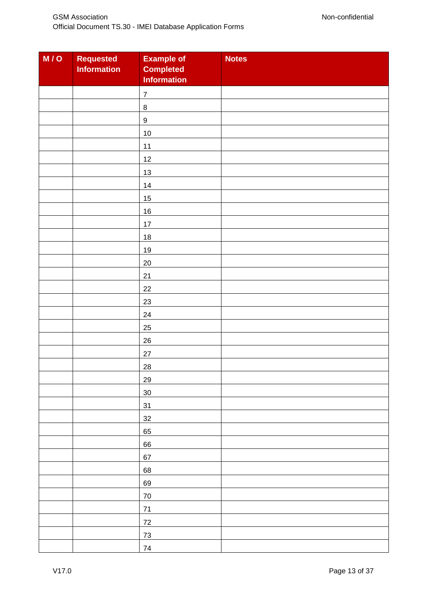| M/O | <b>Requested</b><br><b>Information</b> | <b>Example of</b><br><b>Completed</b><br><b>Information</b> | <b>Notes</b> |
|-----|----------------------------------------|-------------------------------------------------------------|--------------|
|     |                                        | $\boldsymbol{7}$                                            |              |
|     |                                        | $\, 8$                                                      |              |
|     |                                        | $\boldsymbol{9}$                                            |              |
|     |                                        | 10                                                          |              |
|     |                                        | 11                                                          |              |
|     |                                        | 12                                                          |              |
|     |                                        | 13                                                          |              |
|     |                                        | 14                                                          |              |
|     |                                        | $15\,$                                                      |              |
|     |                                        | 16                                                          |              |
|     |                                        | 17                                                          |              |
|     |                                        | 18                                                          |              |
|     |                                        | 19                                                          |              |
|     |                                        | 20                                                          |              |
|     |                                        | 21                                                          |              |
|     |                                        | 22                                                          |              |
|     |                                        | 23                                                          |              |
|     |                                        | 24                                                          |              |
|     |                                        | 25                                                          |              |
|     |                                        | 26                                                          |              |
|     |                                        | $27\,$                                                      |              |
|     |                                        | 28                                                          |              |
|     |                                        | 29                                                          |              |
|     |                                        | 30 <sub>o</sub>                                             |              |
|     |                                        | 31                                                          |              |
|     |                                        | 32                                                          |              |
|     |                                        | 65                                                          |              |
|     |                                        | 66                                                          |              |
|     |                                        | 67                                                          |              |
|     |                                        | 68                                                          |              |
|     |                                        | 69                                                          |              |
|     |                                        | $70\,$                                                      |              |
|     |                                        | $71$                                                        |              |
|     |                                        | $72\,$                                                      |              |
|     |                                        | $73\,$                                                      |              |
|     |                                        | $\bf 74$                                                    |              |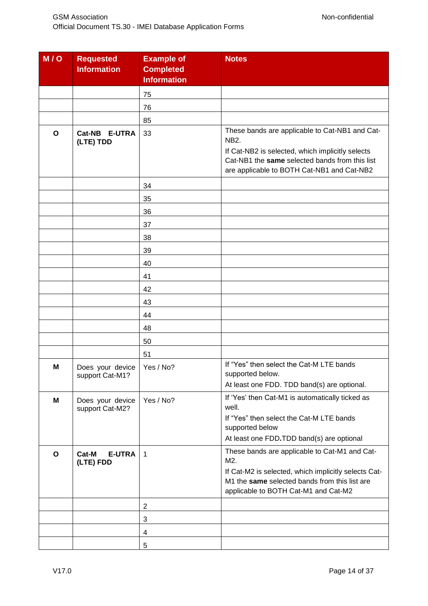| M/O          | <b>Requested</b><br><b>Information</b> | <b>Example of</b><br><b>Completed</b><br><b>Information</b> | <b>Notes</b>                                                                                                                                                                                                      |
|--------------|----------------------------------------|-------------------------------------------------------------|-------------------------------------------------------------------------------------------------------------------------------------------------------------------------------------------------------------------|
|              |                                        | 75                                                          |                                                                                                                                                                                                                   |
|              |                                        | 76                                                          |                                                                                                                                                                                                                   |
|              |                                        | 85                                                          |                                                                                                                                                                                                                   |
| $\mathbf{o}$ | Cat-NB E-UTRA<br>(LTE) TDD             | 33                                                          | These bands are applicable to Cat-NB1 and Cat-<br><b>NB2.</b><br>If Cat-NB2 is selected, which implicitly selects<br>Cat-NB1 the same selected bands from this list<br>are applicable to BOTH Cat-NB1 and Cat-NB2 |
|              |                                        | 34                                                          |                                                                                                                                                                                                                   |
|              |                                        | 35                                                          |                                                                                                                                                                                                                   |
|              |                                        | 36                                                          |                                                                                                                                                                                                                   |
|              |                                        | 37                                                          |                                                                                                                                                                                                                   |
|              |                                        | 38                                                          |                                                                                                                                                                                                                   |
|              |                                        | 39                                                          |                                                                                                                                                                                                                   |
|              |                                        | 40                                                          |                                                                                                                                                                                                                   |
|              |                                        | 41                                                          |                                                                                                                                                                                                                   |
|              |                                        | 42                                                          |                                                                                                                                                                                                                   |
|              |                                        | 43                                                          |                                                                                                                                                                                                                   |
|              |                                        | 44                                                          |                                                                                                                                                                                                                   |
|              |                                        | 48                                                          |                                                                                                                                                                                                                   |
|              |                                        | 50                                                          |                                                                                                                                                                                                                   |
|              |                                        | 51                                                          |                                                                                                                                                                                                                   |
| M            | Does your device<br>support Cat-M1?    | Yes / No?                                                   | If "Yes" then select the Cat-M LTE bands<br>supported below.<br>At least one FDD. TDD band(s) are optional.                                                                                                       |
| M            | Does your device<br>support Cat-M2?    | Yes / No?                                                   | If 'Yes' then Cat-M1 is automatically ticked as<br>well.<br>If "Yes" then select the Cat-M LTE bands<br>supported below<br>At least one FDD.TDD band(s) are optional                                              |
| O            | Cat-M<br><b>E-UTRA</b><br>(LTE) FDD    | $\mathbf{1}$                                                | These bands are applicable to Cat-M1 and Cat-<br>M2.<br>If Cat-M2 is selected, which implicitly selects Cat-<br>M1 the same selected bands from this list are<br>applicable to BOTH Cat-M1 and Cat-M2             |
|              |                                        | $\overline{2}$                                              |                                                                                                                                                                                                                   |
|              |                                        | 3                                                           |                                                                                                                                                                                                                   |
|              |                                        | 4                                                           |                                                                                                                                                                                                                   |
|              |                                        | $\,$ 5 $\,$                                                 |                                                                                                                                                                                                                   |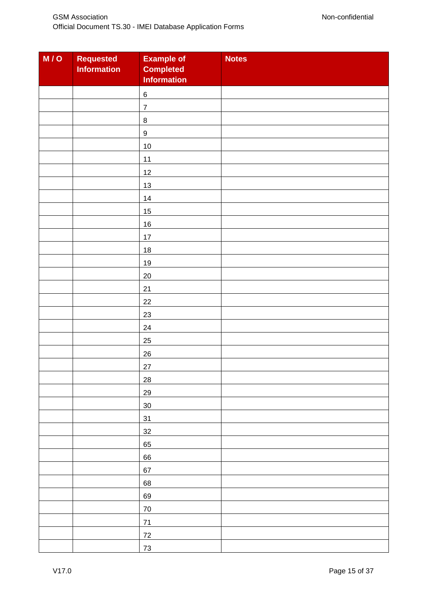| M/O | <b>Requested</b><br><b>Information</b> | <b>Example of</b><br><b>Completed</b><br><b>Information</b> | <b>Notes</b> |
|-----|----------------------------------------|-------------------------------------------------------------|--------------|
|     |                                        | $\,6\,$                                                     |              |
|     |                                        | $\overline{7}$                                              |              |
|     |                                        | $\,8\,$                                                     |              |
|     |                                        | $\boldsymbol{9}$                                            |              |
|     |                                        | $10\,$                                                      |              |
|     |                                        | 11                                                          |              |
|     |                                        | 12                                                          |              |
|     |                                        | $13$                                                        |              |
|     |                                        | $14$                                                        |              |
|     |                                        | 15                                                          |              |
|     |                                        | $16\,$                                                      |              |
|     |                                        | 17                                                          |              |
|     |                                        | $18$                                                        |              |
|     |                                        | 19                                                          |              |
|     |                                        | $20\,$                                                      |              |
|     |                                        | 21                                                          |              |
|     |                                        | 22                                                          |              |
|     |                                        | 23                                                          |              |
|     |                                        | 24                                                          |              |
|     |                                        | 25                                                          |              |
|     |                                        | $26\,$                                                      |              |
|     |                                        | 27                                                          |              |
|     |                                        | 28                                                          |              |
|     |                                        | 29                                                          |              |
|     |                                        | $30\,$                                                      |              |
|     |                                        | 31                                                          |              |
|     |                                        | 32                                                          |              |
|     |                                        | 65                                                          |              |
|     |                                        | 66                                                          |              |
|     |                                        | 67                                                          |              |
|     |                                        | 68                                                          |              |
|     |                                        | 69                                                          |              |
|     |                                        | $70\,$                                                      |              |
|     |                                        | 71                                                          |              |
|     |                                        | $72\,$                                                      |              |
|     |                                        | 73                                                          |              |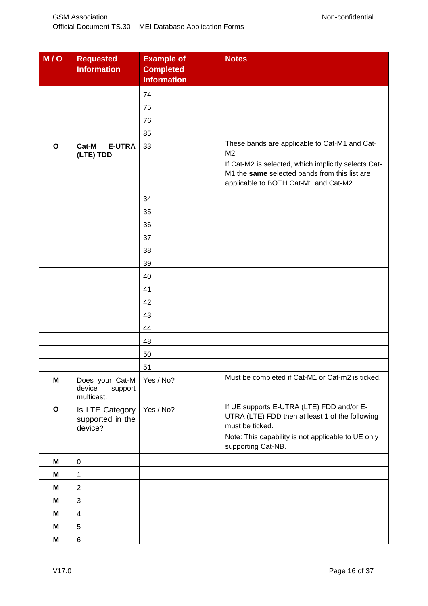| M/Q          | <b>Requested</b><br><b>Information</b>             | <b>Example of</b><br><b>Completed</b><br><b>Information</b> | <b>Notes</b>                                                                                                                                                                                          |
|--------------|----------------------------------------------------|-------------------------------------------------------------|-------------------------------------------------------------------------------------------------------------------------------------------------------------------------------------------------------|
|              |                                                    | 74                                                          |                                                                                                                                                                                                       |
|              |                                                    | 75                                                          |                                                                                                                                                                                                       |
|              |                                                    | 76                                                          |                                                                                                                                                                                                       |
|              |                                                    | 85                                                          |                                                                                                                                                                                                       |
| $\mathbf{o}$ | Cat-M<br><b>E-UTRA</b><br>(LTE) TDD                | 33                                                          | These bands are applicable to Cat-M1 and Cat-<br>M2.<br>If Cat-M2 is selected, which implicitly selects Cat-<br>M1 the same selected bands from this list are<br>applicable to BOTH Cat-M1 and Cat-M2 |
|              |                                                    | 34                                                          |                                                                                                                                                                                                       |
|              |                                                    | 35                                                          |                                                                                                                                                                                                       |
|              |                                                    | 36                                                          |                                                                                                                                                                                                       |
|              |                                                    | 37                                                          |                                                                                                                                                                                                       |
|              |                                                    | 38                                                          |                                                                                                                                                                                                       |
|              |                                                    | 39                                                          |                                                                                                                                                                                                       |
|              |                                                    | 40                                                          |                                                                                                                                                                                                       |
|              |                                                    | 41                                                          |                                                                                                                                                                                                       |
|              |                                                    | 42                                                          |                                                                                                                                                                                                       |
|              |                                                    | 43                                                          |                                                                                                                                                                                                       |
|              |                                                    | 44                                                          |                                                                                                                                                                                                       |
|              |                                                    | 48                                                          |                                                                                                                                                                                                       |
|              |                                                    | 50                                                          |                                                                                                                                                                                                       |
|              |                                                    | 51                                                          |                                                                                                                                                                                                       |
| M            | Does your Cat-M<br>device<br>support<br>multicast. | Yes / No?                                                   | Must be completed if Cat-M1 or Cat-m2 is ticked.                                                                                                                                                      |
| $\mathbf{o}$ | Is LTE Category<br>supported in the<br>device?     | Yes / No?                                                   | If UE supports E-UTRA (LTE) FDD and/or E-<br>UTRA (LTE) FDD then at least 1 of the following<br>must be ticked.<br>Note: This capability is not applicable to UE only<br>supporting Cat-NB.           |
| M            | $\pmb{0}$                                          |                                                             |                                                                                                                                                                                                       |
| M            | $\mathbf 1$                                        |                                                             |                                                                                                                                                                                                       |
| M            | $\boldsymbol{2}$                                   |                                                             |                                                                                                                                                                                                       |
| M            | $\sqrt{3}$                                         |                                                             |                                                                                                                                                                                                       |
| M            | $\overline{\mathbf{4}}$                            |                                                             |                                                                                                                                                                                                       |
| M            | $\sqrt{5}$                                         |                                                             |                                                                                                                                                                                                       |
| M            | $\,6$                                              |                                                             |                                                                                                                                                                                                       |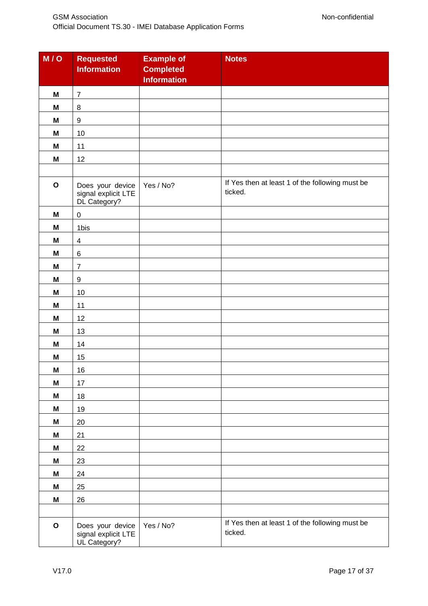| M/O         | <b>Requested</b><br><b>Information</b>                  | <b>Example of</b><br><b>Completed</b><br><b>Information</b> | <b>Notes</b>                                               |
|-------------|---------------------------------------------------------|-------------------------------------------------------------|------------------------------------------------------------|
| M           | $\overline{7}$                                          |                                                             |                                                            |
| M           | $\, 8$                                                  |                                                             |                                                            |
| M           | $\boldsymbol{9}$                                        |                                                             |                                                            |
| M           | 10                                                      |                                                             |                                                            |
| M           | 11                                                      |                                                             |                                                            |
| M           | 12                                                      |                                                             |                                                            |
|             |                                                         |                                                             |                                                            |
| $\mathbf O$ | Does your device<br>signal explicit LTE<br>DL Category? | Yes / No?                                                   | If Yes then at least 1 of the following must be<br>ticked. |
| M           | $\pmb{0}$                                               |                                                             |                                                            |
| M           | 1bis                                                    |                                                             |                                                            |
| M           | $\overline{\mathbf{4}}$                                 |                                                             |                                                            |
| M           | $\,6$                                                   |                                                             |                                                            |
| M           | $\overline{7}$                                          |                                                             |                                                            |
| M           | $\boldsymbol{9}$                                        |                                                             |                                                            |
| M           | 10                                                      |                                                             |                                                            |
| M           | 11                                                      |                                                             |                                                            |
| M           | 12                                                      |                                                             |                                                            |
| M           | 13                                                      |                                                             |                                                            |
| M           | 14                                                      |                                                             |                                                            |
| M           | 15                                                      |                                                             |                                                            |
| M           | 16                                                      |                                                             |                                                            |
| M           | 17                                                      |                                                             |                                                            |
| M           | 18                                                      |                                                             |                                                            |
| M           | 19                                                      |                                                             |                                                            |
| M           | 20                                                      |                                                             |                                                            |
| M           | 21                                                      |                                                             |                                                            |
| M           | 22                                                      |                                                             |                                                            |
| M           | 23                                                      |                                                             |                                                            |
| M           | 24                                                      |                                                             |                                                            |
| M           | 25                                                      |                                                             |                                                            |
| M           | 26                                                      |                                                             |                                                            |
|             |                                                         |                                                             |                                                            |
| $\mathbf O$ | Does your device<br>signal explicit LTE<br>UL Category? | Yes / No?                                                   | If Yes then at least 1 of the following must be<br>ticked. |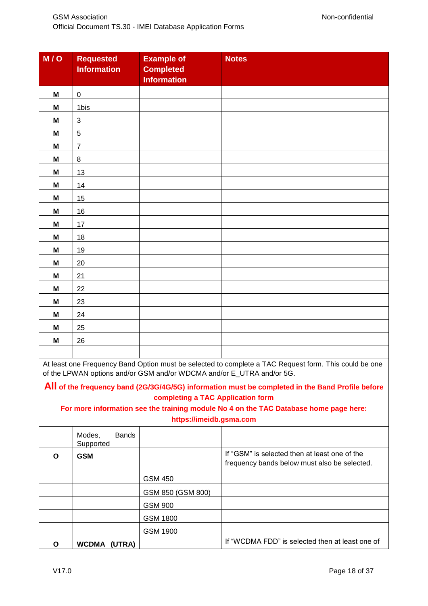| M/O                       | <b>Requested</b><br><b>Information</b> | <b>Example of</b><br><b>Completed</b><br><b>Information</b> | <b>Notes</b> |
|---------------------------|----------------------------------------|-------------------------------------------------------------|--------------|
| M                         | $\mathbf 0$                            |                                                             |              |
| M                         | 1bis                                   |                                                             |              |
| M                         | $\sqrt{3}$                             |                                                             |              |
| $\boldsymbol{\mathsf{M}}$ | $\sqrt{5}$                             |                                                             |              |
| M                         | $\overline{7}$                         |                                                             |              |
| M                         | $\,8\,$                                |                                                             |              |
| M                         | 13                                     |                                                             |              |
| M                         | 14                                     |                                                             |              |
| M                         | 15                                     |                                                             |              |
| M                         | 16                                     |                                                             |              |
| M                         | 17                                     |                                                             |              |
| M                         | $18$                                   |                                                             |              |
| $\boldsymbol{\mathsf{M}}$ | 19                                     |                                                             |              |
| M                         | 20                                     |                                                             |              |
| M                         | 21                                     |                                                             |              |
| $\boldsymbol{\mathsf{M}}$ | 22                                     |                                                             |              |
| M                         | 23                                     |                                                             |              |
| M                         | 24                                     |                                                             |              |
| M                         | 25                                     |                                                             |              |
| M                         | 26                                     |                                                             |              |
|                           |                                        |                                                             |              |

At least one Frequency Band Option must be selected to complete a TAC Request form. This could be one of the LPWAN options and/or GSM and/or WDCMA and/or E\_UTRA and/or 5G.

#### **All of the frequency band (2G/3G/4G/5G) information must be completed in the Band Profile before completing a TAC Application form**

**For more information see the training module No 4 on the TAC Database home page here: https://imeidb.gsma.com**

|   | <b>Bands</b><br>Modes,<br>Supported |                   |                                                                                               |
|---|-------------------------------------|-------------------|-----------------------------------------------------------------------------------------------|
| O | <b>GSM</b>                          |                   | If "GSM" is selected then at least one of the<br>frequency bands below must also be selected. |
|   |                                     | <b>GSM 450</b>    |                                                                                               |
|   |                                     | GSM 850 (GSM 800) |                                                                                               |
|   |                                     | <b>GSM 900</b>    |                                                                                               |
|   |                                     | <b>GSM 1800</b>   |                                                                                               |
|   |                                     | GSM 1900          |                                                                                               |
| O | <b>WCDMA</b><br>(UTRA)              |                   | If "WCDMA FDD" is selected then at least one of                                               |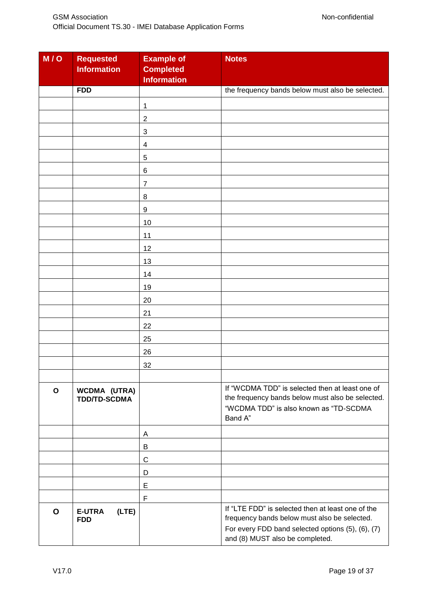| M/O          | <b>Requested</b><br><b>Information</b>     | <b>Example of</b><br><b>Completed</b><br><b>Information</b> | <b>Notes</b>                                                                                                                                                                              |
|--------------|--------------------------------------------|-------------------------------------------------------------|-------------------------------------------------------------------------------------------------------------------------------------------------------------------------------------------|
|              | <b>FDD</b>                                 |                                                             | the frequency bands below must also be selected.                                                                                                                                          |
|              |                                            | 1                                                           |                                                                                                                                                                                           |
|              |                                            | $\mathbf 2$                                                 |                                                                                                                                                                                           |
|              |                                            | 3                                                           |                                                                                                                                                                                           |
|              |                                            | 4                                                           |                                                                                                                                                                                           |
|              |                                            | 5                                                           |                                                                                                                                                                                           |
|              |                                            | 6                                                           |                                                                                                                                                                                           |
|              |                                            | $\overline{7}$                                              |                                                                                                                                                                                           |
|              |                                            | 8                                                           |                                                                                                                                                                                           |
|              |                                            | $\boldsymbol{9}$                                            |                                                                                                                                                                                           |
|              |                                            | 10                                                          |                                                                                                                                                                                           |
|              |                                            | 11                                                          |                                                                                                                                                                                           |
|              |                                            | 12                                                          |                                                                                                                                                                                           |
|              |                                            | 13                                                          |                                                                                                                                                                                           |
|              |                                            | 14                                                          |                                                                                                                                                                                           |
|              |                                            | 19                                                          |                                                                                                                                                                                           |
|              |                                            | 20                                                          |                                                                                                                                                                                           |
|              |                                            | 21                                                          |                                                                                                                                                                                           |
|              |                                            | 22                                                          |                                                                                                                                                                                           |
|              |                                            | 25                                                          |                                                                                                                                                                                           |
|              |                                            | 26                                                          |                                                                                                                                                                                           |
|              |                                            | 32                                                          |                                                                                                                                                                                           |
|              |                                            |                                                             |                                                                                                                                                                                           |
| $\mathbf{o}$ | <b>WCDMA (UTRA)</b><br><b>TDD/TD-SCDMA</b> |                                                             | If "WCDMA TDD" is selected then at least one of<br>the frequency bands below must also be selected.<br>"WCDMA TDD" is also known as "TD-SCDMA<br>Band A"                                  |
|              |                                            | Α                                                           |                                                                                                                                                                                           |
|              |                                            | B                                                           |                                                                                                                                                                                           |
|              |                                            | $\mathsf C$                                                 |                                                                                                                                                                                           |
|              |                                            | D                                                           |                                                                                                                                                                                           |
|              |                                            | E                                                           |                                                                                                                                                                                           |
|              |                                            | F                                                           |                                                                                                                                                                                           |
| $\mathbf{o}$ | <b>E-UTRA</b><br>(LTE)<br><b>FDD</b>       |                                                             | If "LTE FDD" is selected then at least one of the<br>frequency bands below must also be selected.<br>For every FDD band selected options (5), (6), (7)<br>and (8) MUST also be completed. |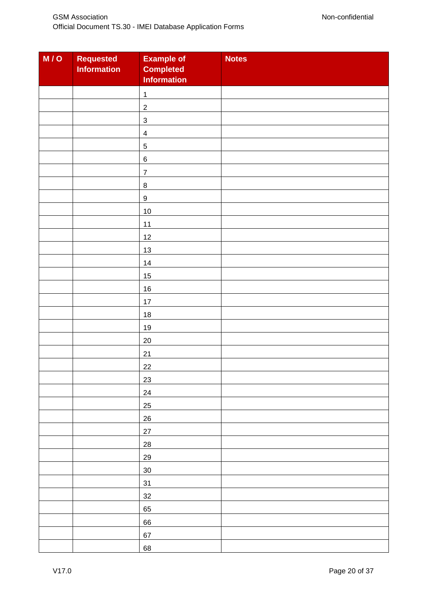| M/O | Requested<br><b>Information</b> | <b>Example of</b><br><b>Completed</b><br><b>Information</b> | <b>Notes</b> |
|-----|---------------------------------|-------------------------------------------------------------|--------------|
|     |                                 | $\mathbf{1}$                                                |              |
|     |                                 | $\boldsymbol{2}$                                            |              |
|     |                                 | $\ensuremath{\mathsf{3}}$                                   |              |
|     |                                 | $\overline{\mathbf{4}}$                                     |              |
|     |                                 | $\,$ 5 $\,$                                                 |              |
|     |                                 | $\,6$                                                       |              |
|     |                                 | $\boldsymbol{7}$                                            |              |
|     |                                 | $\, 8$                                                      |              |
|     |                                 | $\boldsymbol{9}$                                            |              |
|     |                                 | 10                                                          |              |
|     |                                 | 11                                                          |              |
|     |                                 | 12                                                          |              |
|     |                                 | 13                                                          |              |
|     |                                 | 14                                                          |              |
|     |                                 | 15                                                          |              |
|     |                                 | 16                                                          |              |
|     |                                 | 17                                                          |              |
|     |                                 | 18                                                          |              |
|     |                                 | 19                                                          |              |
|     |                                 | 20                                                          |              |
|     |                                 | 21                                                          |              |
|     |                                 | 22                                                          |              |
|     |                                 | 23                                                          |              |
|     |                                 | 24                                                          |              |
|     |                                 | 25                                                          |              |
|     |                                 | 26                                                          |              |
|     |                                 | 27                                                          |              |
|     |                                 | 28                                                          |              |
|     |                                 | 29                                                          |              |
|     |                                 | 30                                                          |              |
|     |                                 | 31                                                          |              |
|     |                                 | 32                                                          |              |
|     |                                 | 65                                                          |              |
|     |                                 | 66                                                          |              |
|     |                                 | 67                                                          |              |
|     |                                 | 68                                                          |              |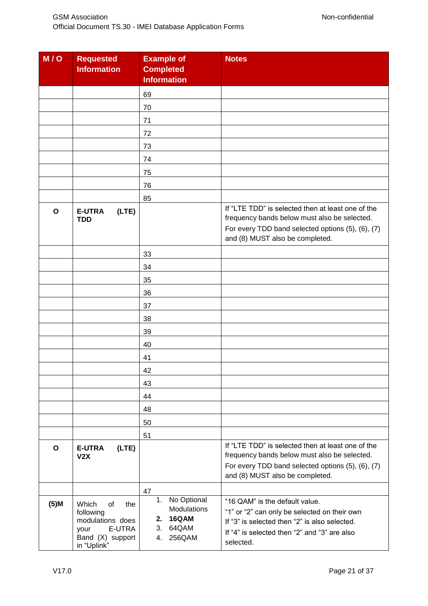| M/O          | <b>Requested</b><br><b>Information</b>                                                                   | <b>Example of</b><br><b>Completed</b><br><b>Information</b>                  | <b>Notes</b>                                                                                                                                                                                 |
|--------------|----------------------------------------------------------------------------------------------------------|------------------------------------------------------------------------------|----------------------------------------------------------------------------------------------------------------------------------------------------------------------------------------------|
|              |                                                                                                          | 69                                                                           |                                                                                                                                                                                              |
|              |                                                                                                          | 70                                                                           |                                                                                                                                                                                              |
|              |                                                                                                          | 71                                                                           |                                                                                                                                                                                              |
|              |                                                                                                          | 72                                                                           |                                                                                                                                                                                              |
|              |                                                                                                          | 73                                                                           |                                                                                                                                                                                              |
|              |                                                                                                          | 74                                                                           |                                                                                                                                                                                              |
|              |                                                                                                          | 75                                                                           |                                                                                                                                                                                              |
|              |                                                                                                          | 76                                                                           |                                                                                                                                                                                              |
|              |                                                                                                          | 85                                                                           |                                                                                                                                                                                              |
| $\mathbf{o}$ | <b>E-UTRA</b><br>(LTE)<br>TDD                                                                            |                                                                              | If "LTE TDD" is selected then at least one of the<br>frequency bands below must also be selected.<br>For every TDD band selected options (5), (6), (7)<br>and (8) MUST also be completed.    |
|              |                                                                                                          | 33                                                                           |                                                                                                                                                                                              |
|              |                                                                                                          | 34                                                                           |                                                                                                                                                                                              |
|              |                                                                                                          | 35                                                                           |                                                                                                                                                                                              |
|              |                                                                                                          | 36                                                                           |                                                                                                                                                                                              |
|              |                                                                                                          | 37                                                                           |                                                                                                                                                                                              |
|              |                                                                                                          | 38                                                                           |                                                                                                                                                                                              |
|              |                                                                                                          | 39                                                                           |                                                                                                                                                                                              |
|              |                                                                                                          | 40                                                                           |                                                                                                                                                                                              |
|              |                                                                                                          | 41                                                                           |                                                                                                                                                                                              |
|              |                                                                                                          | 42                                                                           |                                                                                                                                                                                              |
|              |                                                                                                          | 43                                                                           |                                                                                                                                                                                              |
|              |                                                                                                          | 44                                                                           |                                                                                                                                                                                              |
|              |                                                                                                          | 48                                                                           |                                                                                                                                                                                              |
|              |                                                                                                          | 50                                                                           |                                                                                                                                                                                              |
|              |                                                                                                          | 51                                                                           |                                                                                                                                                                                              |
| O            | <b>E-UTRA</b><br>(LTE)<br>V2X                                                                            |                                                                              | If "LTE TDD" is selected then at least one of the<br>frequency bands below must also be selected.<br>For every TDD band selected options (5), (6), (7)<br>and (8) MUST also be completed.    |
|              |                                                                                                          | 47                                                                           |                                                                                                                                                                                              |
| $(5)$ M      | Which<br>of<br>the<br>following<br>modulations does<br>E-UTRA<br>your<br>Band (X) support<br>in "Uplink" | 1. No Optional<br><b>Modulations</b><br>2. 16QAM<br>3. 64QAM<br>256QAM<br>4. | "16 QAM" is the default value.<br>"1" or "2" can only be selected on their own<br>If "3" is selected then "2" is also selected.<br>If "4" is selected then "2" and "3" are also<br>selected. |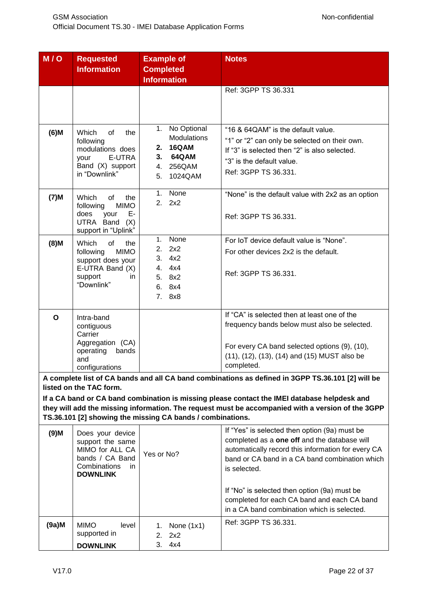| M/O      | <b>Requested</b>                       | <b>Example of</b>                                          | <b>Notes</b>                                                                                      |
|----------|----------------------------------------|------------------------------------------------------------|---------------------------------------------------------------------------------------------------|
|          | <b>Information</b>                     | <b>Completed</b>                                           |                                                                                                   |
|          |                                        | <b>Information</b>                                         |                                                                                                   |
|          |                                        |                                                            | Ref: 3GPP TS 36.331                                                                               |
|          |                                        |                                                            |                                                                                                   |
|          |                                        |                                                            |                                                                                                   |
|          |                                        |                                                            |                                                                                                   |
| $(6)$ M  | Which<br>of<br>the                     | No Optional<br>1.                                          | "16 & 64QAM" is the default value.                                                                |
|          | following                              | Modulations                                                | "1" or "2" can only be selected on their own.                                                     |
|          | modulations does                       | 16QAM<br>2.                                                | If "3" is selected then "2" is also selected.                                                     |
|          | E-UTRA<br>your<br>Band (X) support     | 3.<br><b>64QAM</b><br>256QAM<br>4.                         | "3" is the default value.                                                                         |
|          | in "Downlink"                          | 5.<br>1024QAM                                              | Ref: 3GPP TS 36.331.                                                                              |
|          |                                        |                                                            |                                                                                                   |
|          | Which<br>of<br>the                     | 1. None                                                    | "None" is the default value with 2x2 as an option                                                 |
| $(7)$ M  | following<br><b>MIMO</b>               | 2.<br>2x2                                                  |                                                                                                   |
|          | does<br>Е-<br>your                     |                                                            | Ref: 3GPP TS 36.331.                                                                              |
|          | UTRA Band (X)                          |                                                            |                                                                                                   |
|          | support in "Uplink"                    |                                                            |                                                                                                   |
| $(8)$ M  | Which<br>of<br>the                     | None<br>1.<br>2x2<br>2.                                    | For IoT device default value is "None".                                                           |
|          | following<br><b>MIMO</b>               | 3.<br>4x2                                                  | For other devices 2x2 is the default.                                                             |
|          | support does your<br>E-UTRA Band (X)   | 4.<br>4x4                                                  |                                                                                                   |
|          | support<br>in.                         | 5.<br>8x2                                                  | Ref: 3GPP TS 36.331.                                                                              |
|          | "Downlink"                             | 8x4<br>6.                                                  |                                                                                                   |
|          |                                        | 7.<br>8x8                                                  |                                                                                                   |
|          |                                        |                                                            |                                                                                                   |
| O        | Intra-band                             |                                                            | If "CA" is selected then at least one of the                                                      |
|          | contiguous                             |                                                            | frequency bands below must also be selected.                                                      |
|          | Carrier                                |                                                            |                                                                                                   |
|          | Aggregation (CA)<br>operating<br>bands |                                                            | For every CA band selected options (9), (10),                                                     |
|          | and                                    |                                                            | (11), (12), (13), (14) and (15) MUST also be                                                      |
|          | configurations                         |                                                            | completed.                                                                                        |
|          |                                        |                                                            | A complete list of CA bands and all CA band combinations as defined in 3GPP TS.36.101 [2] will be |
|          | listed on the TAC form.                |                                                            |                                                                                                   |
|          |                                        |                                                            | If a CA band or CA band combination is missing please contact the IMEI database helpdesk and      |
|          |                                        |                                                            | they will add the missing information. The request must be accompanied with a version of the 3GPP |
|          |                                        | TS.36.101 [2] showing the missing CA bands / combinations. |                                                                                                   |
| $(9)$ M  | Does your device                       |                                                            | If "Yes" is selected then option (9a) must be                                                     |
|          | support the same                       |                                                            | completed as a one off and the database will                                                      |
|          | MIMO for ALL CA                        | Yes or No?                                                 | automatically record this information for every CA                                                |
|          | bands / CA Band                        |                                                            | band or CA band in a CA band combination which                                                    |
|          | Combinations<br>in.<br><b>DOWNLINK</b> |                                                            | is selected.                                                                                      |
|          |                                        |                                                            |                                                                                                   |
|          |                                        |                                                            | If "No" is selected then option (9a) must be                                                      |
|          |                                        |                                                            | completed for each CA band and each CA band                                                       |
|          |                                        |                                                            | in a CA band combination which is selected.                                                       |
| $(9a)$ M | <b>MIMO</b><br>level                   | None $(1x1)$<br>1.                                         | Ref: 3GPP TS 36.331.                                                                              |
|          | supported in                           | 2.<br>2x2                                                  |                                                                                                   |
|          | <b>DOWNLINK</b>                        | 3.<br>4x4                                                  |                                                                                                   |
|          |                                        |                                                            |                                                                                                   |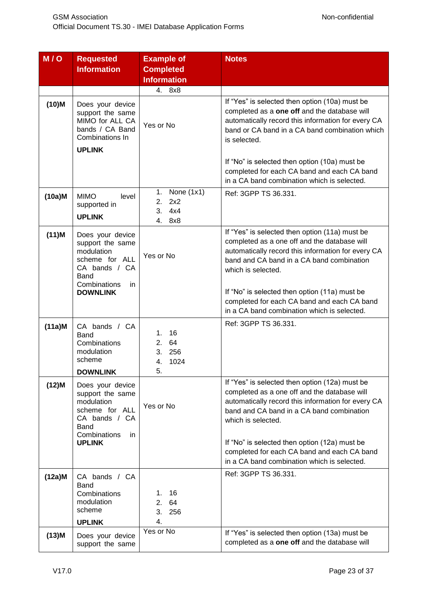| M/O       | <b>Requested</b>                                                                                                                       | <b>Example of</b>                                    | <b>Notes</b>                                                                                                                                                                                                                                                                                                            |
|-----------|----------------------------------------------------------------------------------------------------------------------------------------|------------------------------------------------------|-------------------------------------------------------------------------------------------------------------------------------------------------------------------------------------------------------------------------------------------------------------------------------------------------------------------------|
|           | <b>Information</b>                                                                                                                     | <b>Completed</b><br><b>Information</b>               |                                                                                                                                                                                                                                                                                                                         |
|           |                                                                                                                                        | 4. 8x8                                               |                                                                                                                                                                                                                                                                                                                         |
| $(10)$ M  | Does your device<br>support the same<br>MIMO for ALL CA<br>bands / CA Band<br>Combinations In<br><b>UPLINK</b>                         | Yes or No                                            | If "Yes" is selected then option (10a) must be<br>completed as a one off and the database will<br>automatically record this information for every CA<br>band or CA band in a CA band combination which<br>is selected.                                                                                                  |
|           |                                                                                                                                        |                                                      | If "No" is selected then option (10a) must be<br>completed for each CA band and each CA band<br>in a CA band combination which is selected.                                                                                                                                                                             |
| $(10a)$ M | <b>MIMO</b><br>level<br>supported in<br><b>UPLINK</b>                                                                                  | 1. None (1x1)<br>2.<br>2x2<br>3.<br>4x4<br>4.<br>8x8 | Ref: 3GPP TS 36.331.                                                                                                                                                                                                                                                                                                    |
| $(11)$ M  | Does your device<br>support the same<br>modulation<br>scheme for ALL<br>CA bands / CA<br>Band<br>Combinations<br>in<br><b>DOWNLINK</b> | Yes or No                                            | If "Yes" is selected then option (11a) must be<br>completed as a one off and the database will<br>automatically record this information for every CA<br>band and CA band in a CA band combination<br>which is selected.<br>If "No" is selected then option (11a) must be                                                |
|           |                                                                                                                                        |                                                      | completed for each CA band and each CA band<br>in a CA band combination which is selected.                                                                                                                                                                                                                              |
| $(11a)$ M | CA bands / CA<br>Band<br>Combinations<br>modulation<br>scheme                                                                          | 16<br>1.<br>2. 64<br>3.<br>256<br>1024<br>4.         | Ref: 3GPP TS 36.331.                                                                                                                                                                                                                                                                                                    |
|           | <b>DOWNLINK</b>                                                                                                                        | 5.                                                   |                                                                                                                                                                                                                                                                                                                         |
| $(12)$ M  | Does your device<br>support the same<br>modulation<br>scheme for ALL<br>CA bands / CA<br>Band<br>Combinations<br>in.<br><b>UPLINK</b>  | Yes or No                                            | If "Yes" is selected then option (12a) must be<br>completed as a one off and the database will<br>automatically record this information for every CA<br>band and CA band in a CA band combination<br>which is selected.<br>If "No" is selected then option (12a) must be<br>completed for each CA band and each CA band |
|           |                                                                                                                                        |                                                      | in a CA band combination which is selected.                                                                                                                                                                                                                                                                             |
| $(12a)$ M | CA bands / CA<br><b>Band</b><br>Combinations<br>modulation<br>scheme<br><b>UPLINK</b>                                                  | 16<br>1.<br>2. 64<br>3.<br>256<br>4.                 | Ref: 3GPP TS 36.331.                                                                                                                                                                                                                                                                                                    |
| $(13)$ M  | Does your device<br>support the same                                                                                                   | Yes or No                                            | If "Yes" is selected then option (13a) must be<br>completed as a one off and the database will                                                                                                                                                                                                                          |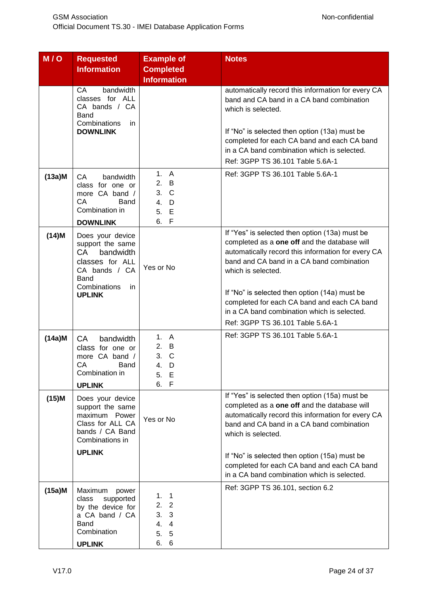| M/O       | <b>Requested</b><br><b>Information</b>                                                                                                      | <b>Example of</b><br><b>Completed</b><br><b>Information</b>                       | <b>Notes</b>                                                                                                                                                                                                                                                                                                                                                                                               |
|-----------|---------------------------------------------------------------------------------------------------------------------------------------------|-----------------------------------------------------------------------------------|------------------------------------------------------------------------------------------------------------------------------------------------------------------------------------------------------------------------------------------------------------------------------------------------------------------------------------------------------------------------------------------------------------|
|           | <b>CA</b><br>bandwidth<br>classes for ALL<br>CA bands / CA<br>Band<br>Combinations<br>in.<br><b>DOWNLINK</b>                                |                                                                                   | automatically record this information for every CA<br>band and CA band in a CA band combination<br>which is selected.<br>If "No" is selected then option (13a) must be<br>completed for each CA band and each CA band<br>in a CA band combination which is selected.<br>Ref: 3GPP TS 36.101 Table 5.6A-1                                                                                                   |
| $(13a)$ M | СA<br>bandwidth<br>class for one or<br>more CA band /<br>CA<br>Band<br>Combination in<br><b>DOWNLINK</b>                                    | 1. A<br>2. B<br>3.<br>$\mathsf{C}$<br>4.<br>D<br>5.<br>Е<br>6.<br>$\mathsf{F}$    | Ref: 3GPP TS 36.101 Table 5.6A-1                                                                                                                                                                                                                                                                                                                                                                           |
| $(14)$ M  | Does your device<br>support the same<br>CA<br>bandwidth<br>classes for ALL<br>CA bands / CA<br>Band<br>Combinations<br>in.<br><b>UPLINK</b> | Yes or No                                                                         | If "Yes" is selected then option (13a) must be<br>completed as a one off and the database will<br>automatically record this information for every CA<br>band and CA band in a CA band combination<br>which is selected.<br>If "No" is selected then option (14a) must be<br>completed for each CA band and each CA band<br>in a CA band combination which is selected.<br>Ref: 3GPP TS 36.101 Table 5.6A-1 |
| $(14a)$ M | <b>CA</b><br><b>bandwidth</b><br>class for one or<br>more CA band /<br>CA<br>Band<br>Combination in<br><b>UPLINK</b>                        | 1. A<br>2. B<br>3. C<br>4. D<br>5.<br>- E<br>6. F                                 | Ref: 3GPP TS 36.101 Table 5.6A-1                                                                                                                                                                                                                                                                                                                                                                           |
| $(15)$ M  | Does your device<br>support the same<br>maximum Power<br>Class for ALL CA<br>bands / CA Band<br>Combinations in<br><b>UPLINK</b>            | Yes or No                                                                         | If "Yes" is selected then option (15a) must be<br>completed as a one off and the database will<br>automatically record this information for every CA<br>band and CA band in a CA band combination<br>which is selected.<br>If "No" is selected then option (15a) must be<br>completed for each CA band and each CA band                                                                                    |
| $(15a)$ M | Maximum<br>power<br>supported<br>class<br>by the device for<br>a CA band / CA<br>Band<br>Combination<br><b>UPLINK</b>                       | 1.<br>$\overline{1}$<br>2.2<br>3.<br>3<br>4.<br>$\overline{4}$<br>5.<br>5<br>6. 6 | in a CA band combination which is selected.<br>Ref: 3GPP TS 36.101, section 6.2                                                                                                                                                                                                                                                                                                                            |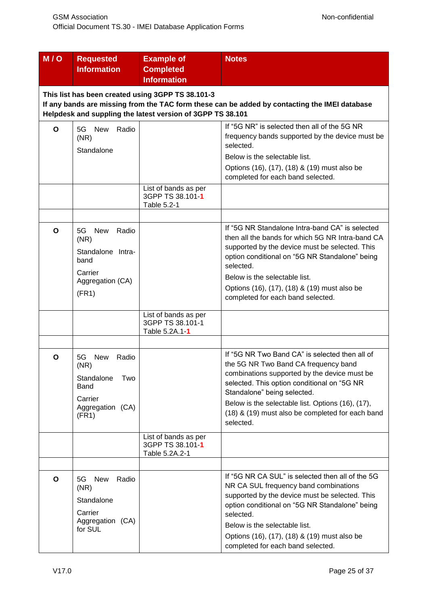| M/O          | <b>Requested</b><br><b>Information</b>                                                                                                                                                                           | <b>Example of</b><br><b>Completed</b><br><b>Information</b> | <b>Notes</b>                                                                                                                                                                                                                                                                                                                               |  |  |
|--------------|------------------------------------------------------------------------------------------------------------------------------------------------------------------------------------------------------------------|-------------------------------------------------------------|--------------------------------------------------------------------------------------------------------------------------------------------------------------------------------------------------------------------------------------------------------------------------------------------------------------------------------------------|--|--|
|              | This list has been created using 3GPP TS 38.101-3<br>If any bands are missing from the TAC form these can be added by contacting the IMEI database<br>Helpdesk and suppling the latest version of 3GPP TS 38.101 |                                                             |                                                                                                                                                                                                                                                                                                                                            |  |  |
| O            | <b>New</b><br>Radio<br>5G<br>(NR)<br>Standalone                                                                                                                                                                  |                                                             | If "5G NR" is selected then all of the 5G NR<br>frequency bands supported by the device must be<br>selected.<br>Below is the selectable list.<br>Options (16), (17), (18) & (19) must also be<br>completed for each band selected.                                                                                                         |  |  |
|              |                                                                                                                                                                                                                  | List of bands as per<br>3GPP TS 38.101-1<br>Table 5.2-1     |                                                                                                                                                                                                                                                                                                                                            |  |  |
| $\mathbf{o}$ | 5G<br><b>New</b><br>Radio<br>(NR)<br>Standalone Intra-<br>band<br>Carrier<br>Aggregation (CA)<br>(FR1)                                                                                                           |                                                             | If "5G NR Standalone Intra-band CA" is selected<br>then all the bands for which 5G NR Intra-band CA<br>supported by the device must be selected. This<br>option conditional on "5G NR Standalone" being<br>selected.<br>Below is the selectable list.<br>Options (16), (17), (18) & (19) must also be<br>completed for each band selected. |  |  |
|              |                                                                                                                                                                                                                  | List of bands as per<br>3GPP TS 38.101-1<br>Table 5.2A.1-1  |                                                                                                                                                                                                                                                                                                                                            |  |  |
| O            | 5G<br><b>New</b><br>Radio<br>(NR)<br>Standalone<br>Two<br>Band<br>Carrier<br>Aggregation (CA)<br>(FR1)                                                                                                           |                                                             | If "5G NR Two Band CA" is selected then all of<br>the 5G NR Two Band CA frequency band<br>combinations supported by the device must be<br>selected. This option conditional on "5G NR<br>Standalone" being selected.<br>Below is the selectable list. Options (16), (17),<br>(18) & (19) must also be completed for each band<br>selected. |  |  |
|              |                                                                                                                                                                                                                  | List of bands as per<br>3GPP TS 38.101-1<br>Table 5.2A.2-1  |                                                                                                                                                                                                                                                                                                                                            |  |  |
| $\mathbf{o}$ | <b>New</b><br>Radio<br>5G<br>(NR)<br>Standalone<br>Carrier<br>Aggregation (CA)<br>for SUL                                                                                                                        |                                                             | If "5G NR CA SUL" is selected then all of the 5G<br>NR CA SUL frequency band combinations<br>supported by the device must be selected. This<br>option conditional on "5G NR Standalone" being<br>selected.<br>Below is the selectable list.<br>Options (16), (17), (18) & (19) must also be<br>completed for each band selected.           |  |  |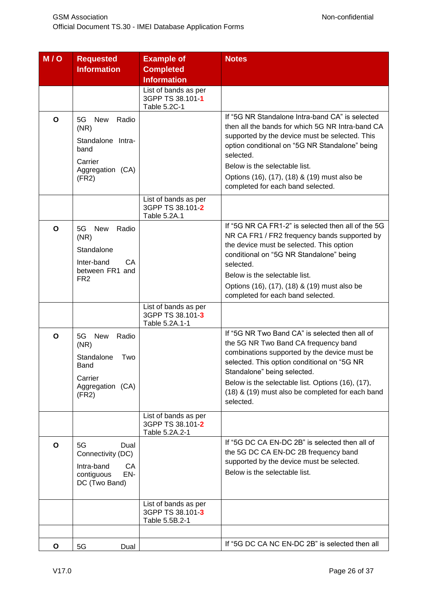| M/O | <b>Requested</b><br><b>Information</b>                                                                 | <b>Example of</b><br><b>Completed</b><br><b>Information</b> | <b>Notes</b>                                                                                                                                                                                                                                                                                                                               |
|-----|--------------------------------------------------------------------------------------------------------|-------------------------------------------------------------|--------------------------------------------------------------------------------------------------------------------------------------------------------------------------------------------------------------------------------------------------------------------------------------------------------------------------------------------|
|     |                                                                                                        | List of bands as per<br>3GPP TS 38.101-1<br>Table 5.2C-1    |                                                                                                                                                                                                                                                                                                                                            |
| O   | 5G<br><b>New</b><br>Radio<br>(NR)<br>Standalone Intra-<br>band<br>Carrier<br>Aggregation (CA)<br>(FR2) |                                                             | If "5G NR Standalone Intra-band CA" is selected<br>then all the bands for which 5G NR Intra-band CA<br>supported by the device must be selected. This<br>option conditional on "5G NR Standalone" being<br>selected.<br>Below is the selectable list.<br>Options (16), (17), (18) & (19) must also be<br>completed for each band selected. |
|     |                                                                                                        | List of bands as per<br>3GPP TS 38.101-2<br>Table 5.2A.1    |                                                                                                                                                                                                                                                                                                                                            |
| O   | 5G<br>New<br>Radio<br>(NR)<br>Standalone<br>Inter-band<br>CA<br>between FR1 and<br>FR <sub>2</sub>     |                                                             | If "5G NR CA FR1-2" is selected then all of the 5G<br>NR CA FR1 / FR2 frequency bands supported by<br>the device must be selected. This option<br>conditional on "5G NR Standalone" being<br>selected.<br>Below is the selectable list.<br>Options (16), (17), (18) & (19) must also be<br>completed for each band selected.               |
|     |                                                                                                        | List of bands as per<br>3GPP TS 38.101-3<br>Table 5.2A.1-1  |                                                                                                                                                                                                                                                                                                                                            |
| O   | 5G<br><b>New</b><br>Radio<br>(NR)<br>Standalone<br>Two<br>Band<br>Carrier<br>Aggregation (CA)<br>(FR2) |                                                             | If "5G NR Two Band CA" is selected then all of<br>the 5G NR Two Band CA frequency band<br>combinations supported by the device must be<br>selected. This option conditional on "5G NR<br>Standalone" being selected.<br>Below is the selectable list. Options (16), (17),<br>(18) & (19) must also be completed for each band<br>selected. |
|     |                                                                                                        | List of bands as per<br>3GPP TS 38.101-2<br>Table 5.2A.2-1  |                                                                                                                                                                                                                                                                                                                                            |
| O   | 5G<br>Dual<br>Connectivity (DC)<br>Intra-band<br>CA<br>EN-<br>contiguous<br>DC (Two Band)              |                                                             | If "5G DC CA EN-DC 2B" is selected then all of<br>the 5G DC CA EN-DC 2B frequency band<br>supported by the device must be selected.<br>Below is the selectable list.                                                                                                                                                                       |
|     |                                                                                                        | List of bands as per<br>3GPP TS 38.101-3<br>Table 5.5B.2-1  |                                                                                                                                                                                                                                                                                                                                            |
| O   | 5G<br>Dual                                                                                             |                                                             | If "5G DC CA NC EN-DC 2B" is selected then all                                                                                                                                                                                                                                                                                             |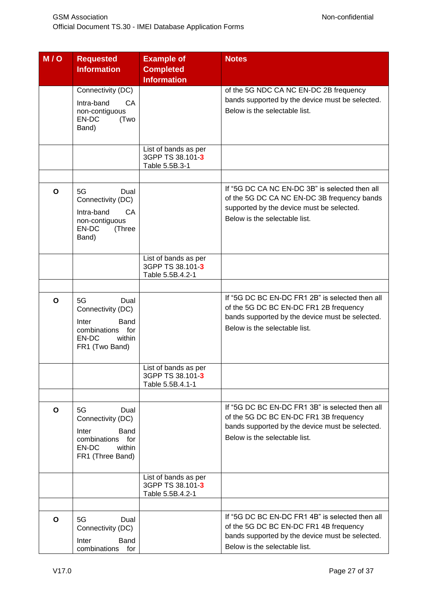| M/O          | <b>Requested</b><br><b>Information</b>                                                                      | <b>Example of</b><br><b>Completed</b><br><b>Information</b>  | <b>Notes</b>                                                                                                                                                                  |
|--------------|-------------------------------------------------------------------------------------------------------------|--------------------------------------------------------------|-------------------------------------------------------------------------------------------------------------------------------------------------------------------------------|
|              | Connectivity (DC)                                                                                           |                                                              | of the 5G NDC CA NC EN-DC 2B frequency                                                                                                                                        |
|              | Intra-band<br>CA<br>non-contiguous<br>EN-DC<br>(Two<br>Band)                                                |                                                              | bands supported by the device must be selected.<br>Below is the selectable list.                                                                                              |
|              |                                                                                                             | List of bands as per<br>3GPP TS 38.101-3<br>Table 5.5B.3-1   |                                                                                                                                                                               |
|              |                                                                                                             |                                                              |                                                                                                                                                                               |
| $\mathbf{o}$ | 5G<br>Dual<br>Connectivity (DC)<br>Intra-band<br>CA<br>non-contiguous<br>EN-DC<br>(Three<br>Band)           |                                                              | If "5G DC CA NC EN-DC 3B" is selected then all<br>of the 5G DC CA NC EN-DC 3B frequency bands<br>supported by the device must be selected.<br>Below is the selectable list.   |
|              |                                                                                                             | List of bands as per<br>3GPP TS 38.101-3<br>Table 5.5B.4.2-1 |                                                                                                                                                                               |
|              |                                                                                                             |                                                              |                                                                                                                                                                               |
| O            | 5G<br>Dual<br>Connectivity (DC)<br>Inter<br>Band<br>combinations for<br>EN-DC<br>within<br>FR1 (Two Band)   |                                                              | If "5G DC BC EN-DC FR1 2B" is selected then all<br>of the 5G DC BC EN-DC FR1 2B frequency<br>bands supported by the device must be selected.<br>Below is the selectable list. |
|              |                                                                                                             | List of bands as per<br>3GPP TS 38.101-3<br>Table 5.5B.4.1-1 |                                                                                                                                                                               |
|              |                                                                                                             |                                                              |                                                                                                                                                                               |
| O            | 5G<br>Dual<br>Connectivity (DC)<br>Inter<br>Band<br>combinations for<br>EN-DC<br>within<br>FR1 (Three Band) |                                                              | If "5G DC BC EN-DC FR1 3B" is selected then all<br>of the 5G DC BC EN-DC FR1 3B frequency<br>bands supported by the device must be selected.<br>Below is the selectable list. |
|              |                                                                                                             | List of bands as per<br>3GPP TS 38.101-3<br>Table 5.5B.4.2-1 |                                                                                                                                                                               |
|              |                                                                                                             |                                                              |                                                                                                                                                                               |
| O            | 5G<br>Dual<br>Connectivity (DC)<br>Inter<br>Band<br>combinations<br>for                                     |                                                              | If "5G DC BC EN-DC FR1 4B" is selected then all<br>of the 5G DC BC EN-DC FR1 4B frequency<br>bands supported by the device must be selected.<br>Below is the selectable list. |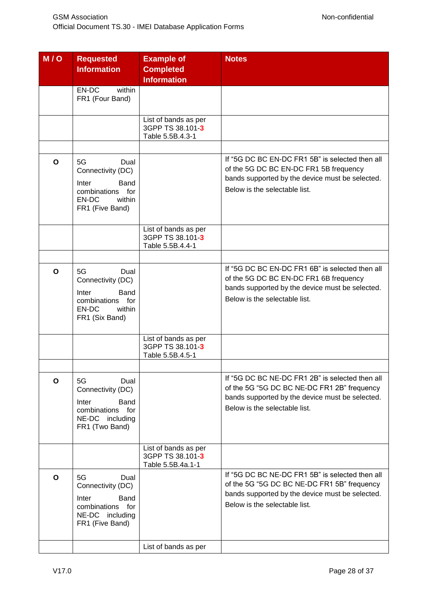| $\overline{M}/\overline{Q}$ | <b>Requested</b><br><b>Information</b>                                                                        | <b>Example of</b><br><b>Completed</b><br><b>Information</b>   | <b>Notes</b>                                                                                                                                                                       |
|-----------------------------|---------------------------------------------------------------------------------------------------------------|---------------------------------------------------------------|------------------------------------------------------------------------------------------------------------------------------------------------------------------------------------|
|                             | EN-DC<br>within<br>FR1 (Four Band)                                                                            |                                                               |                                                                                                                                                                                    |
|                             |                                                                                                               | List of bands as per<br>3GPP TS 38.101-3<br>Table 5.5B.4.3-1  |                                                                                                                                                                                    |
|                             |                                                                                                               |                                                               | If "5G DC BC EN-DC FR1 5B" is selected then all                                                                                                                                    |
| O                           | 5G<br>Dual<br>Connectivity (DC)<br>Inter<br>Band<br>combinations for<br>EN-DC<br>within<br>FR1 (Five Band)    |                                                               | of the 5G DC BC EN-DC FR1 5B frequency<br>bands supported by the device must be selected.<br>Below is the selectable list.                                                         |
|                             |                                                                                                               | List of bands as per<br>3GPP TS 38.101-3<br>Table 5.5B.4.4-1  |                                                                                                                                                                                    |
|                             |                                                                                                               |                                                               | If "5G DC BC EN-DC FR1 6B" is selected then all                                                                                                                                    |
| O                           | 5G<br>Dual<br>Connectivity (DC)<br>Inter<br>Band<br>combinations for<br>EN-DC<br>within<br>FR1 (Six Band)     |                                                               | of the 5G DC BC EN-DC FR1 6B frequency<br>bands supported by the device must be selected.<br>Below is the selectable list.                                                         |
|                             |                                                                                                               | List of bands as per<br>3GPP TS 38.101-3<br>Table 5.5B.4.5-1  |                                                                                                                                                                                    |
|                             |                                                                                                               |                                                               |                                                                                                                                                                                    |
| O                           | 5G<br>Dual<br>Connectivity (DC)<br>Band<br>Inter<br>combinations for<br>NE-DC<br>including<br>FR1 (Two Band)  |                                                               | If "5G DC BC NE-DC FR1 2B" is selected then all<br>of the 5G "5G DC BC NE-DC FR1 2B" frequency<br>bands supported by the device must be selected.<br>Below is the selectable list. |
|                             |                                                                                                               | List of bands as per<br>3GPP TS 38.101-3<br>Table 5.5B.4a.1-1 |                                                                                                                                                                                    |
| O                           | 5G<br>Dual<br>Connectivity (DC)<br>Inter<br>Band<br>combinations<br>for<br>NE-DC including<br>FR1 (Five Band) |                                                               | If "5G DC BC NE-DC FR1 5B" is selected then all<br>of the 5G "5G DC BC NE-DC FR1 5B" frequency<br>bands supported by the device must be selected.<br>Below is the selectable list. |
|                             |                                                                                                               | List of bands as per                                          |                                                                                                                                                                                    |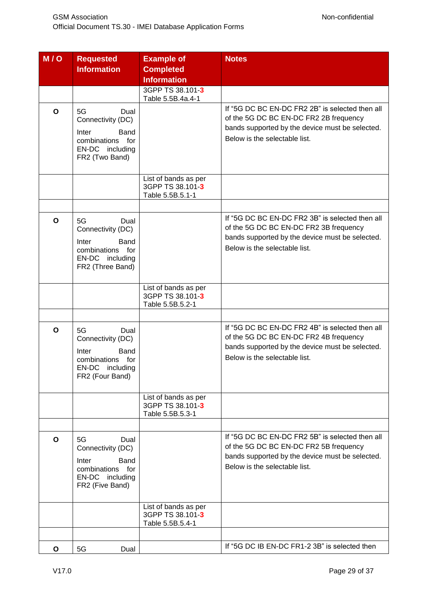| $\overline{M}/\overline{Q}$ | <b>Requested</b><br><b>Information</b>                                                                            | <b>Example of</b><br><b>Completed</b><br><b>Information</b>  | <b>Notes</b>                                                                                                                                                                  |
|-----------------------------|-------------------------------------------------------------------------------------------------------------------|--------------------------------------------------------------|-------------------------------------------------------------------------------------------------------------------------------------------------------------------------------|
|                             |                                                                                                                   | 3GPP TS 38.101-3                                             |                                                                                                                                                                               |
|                             |                                                                                                                   | Table 5.5B.4a.4-1                                            |                                                                                                                                                                               |
| O                           | 5G<br>Dual<br>Connectivity (DC)<br>Inter<br>Band<br>combinations for<br>EN-DC including<br>FR2 (Two Band)         |                                                              | If "5G DC BC EN-DC FR2 2B" is selected then all<br>of the 5G DC BC EN-DC FR2 2B frequency<br>bands supported by the device must be selected.<br>Below is the selectable list. |
|                             |                                                                                                                   | List of bands as per<br>3GPP TS 38.101-3<br>Table 5.5B.5.1-1 |                                                                                                                                                                               |
|                             |                                                                                                                   |                                                              |                                                                                                                                                                               |
| O                           | 5G<br>Dual<br>Connectivity (DC)<br>Inter<br>Band<br>combinations for<br>EN-DC including<br>FR2 (Three Band)       |                                                              | If "5G DC BC EN-DC FR2 3B" is selected then all<br>of the 5G DC BC EN-DC FR2 3B frequency<br>bands supported by the device must be selected.<br>Below is the selectable list. |
|                             |                                                                                                                   | List of bands as per<br>3GPP TS 38.101-3<br>Table 5.5B.5.2-1 |                                                                                                                                                                               |
|                             |                                                                                                                   |                                                              |                                                                                                                                                                               |
| O                           | 5G<br>Dual<br>Connectivity (DC)<br>Inter<br>Band<br>combinations for<br>EN-DC<br>including<br>FR2 (Four Band)     |                                                              | If "5G DC BC EN-DC FR2 4B" is selected then all<br>of the 5G DC BC EN-DC FR2 4B frequency<br>bands supported by the device must be selected.<br>Below is the selectable list. |
|                             |                                                                                                                   | List of bands as per<br>3GPP TS 38.101-3<br>Table 5.5B.5.3-1 |                                                                                                                                                                               |
|                             |                                                                                                                   |                                                              |                                                                                                                                                                               |
| $\mathbf{o}$                | 5G<br>Dual<br>Connectivity (DC)<br><b>Band</b><br>Inter<br>combinations for<br>EN-DC including<br>FR2 (Five Band) |                                                              | If "5G DC BC EN-DC FR2 5B" is selected then all<br>of the 5G DC BC EN-DC FR2 5B frequency<br>bands supported by the device must be selected.<br>Below is the selectable list. |
|                             |                                                                                                                   | List of bands as per<br>3GPP TS 38.101-3<br>Table 5.5B.5.4-1 |                                                                                                                                                                               |
|                             |                                                                                                                   |                                                              |                                                                                                                                                                               |
| O                           | 5G<br>Dual                                                                                                        |                                                              | If "5G DC IB EN-DC FR1-2 3B" is selected then                                                                                                                                 |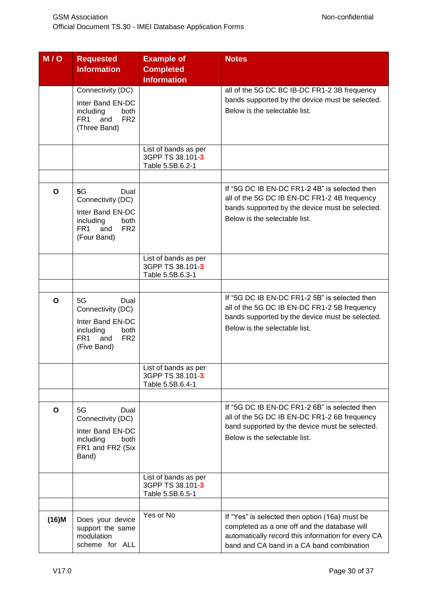| M/O          | <b>Requested</b><br><b>Information</b>                   | <b>Example of</b><br><b>Completed</b><br><b>Information</b> | <b>Notes</b>                                       |
|--------------|----------------------------------------------------------|-------------------------------------------------------------|----------------------------------------------------|
|              | Connectivity (DC)                                        |                                                             | all of the 5G DC BC IB-DC FR1-2 3B frequency       |
|              | Inter Band EN-DC                                         |                                                             | bands supported by the device must be selected.    |
|              | including<br>both                                        |                                                             | Below is the selectable list.                      |
|              | FR <sub>2</sub><br>FR <sub>1</sub><br>and                |                                                             |                                                    |
|              | (Three Band)                                             |                                                             |                                                    |
|              |                                                          |                                                             |                                                    |
|              |                                                          | List of bands as per                                        |                                                    |
|              |                                                          | 3GPP TS 38.101-3                                            |                                                    |
|              |                                                          | Table 5.5B.6.2-1                                            |                                                    |
|              |                                                          |                                                             |                                                    |
| $\mathbf{o}$ | 5G<br>Dual                                               |                                                             | If "5G DC IB EN-DC FR1-2 4B" is selected then      |
|              | Connectivity (DC)                                        |                                                             | all of the 5G DC IB EN-DC FR1-2 4B frequency       |
|              | Inter Band EN-DC                                         |                                                             | bands supported by the device must be selected.    |
|              | including<br>both                                        |                                                             | Below is the selectable list.                      |
|              | FR <sub>2</sub><br>FR <sub>1</sub><br>and<br>(Four Band) |                                                             |                                                    |
|              |                                                          |                                                             |                                                    |
|              |                                                          | List of bands as per                                        |                                                    |
|              |                                                          | 3GPP TS 38.101-3                                            |                                                    |
|              |                                                          | Table 5.5B.6.3-1                                            |                                                    |
|              |                                                          |                                                             |                                                    |
| $\mathbf{o}$ | 5G<br>Dual                                               |                                                             | If "5G DC IB EN-DC FR1-2 5B" is selected then      |
|              | Connectivity (DC)                                        |                                                             | all of the 5G DC IB EN-DC FR1-2 5B frequency       |
|              | Inter Band EN-DC                                         |                                                             | bands supported by the device must be selected.    |
|              | including<br>both                                        |                                                             | Below is the selectable list.                      |
|              | FR <sub>2</sub><br>FR <sub>1</sub><br>and                |                                                             |                                                    |
|              | (Five Band)                                              |                                                             |                                                    |
|              |                                                          |                                                             |                                                    |
|              |                                                          | List of bands as per<br>3GPP TS 38.101-3                    |                                                    |
|              |                                                          | Table 5.5B.6.4-1                                            |                                                    |
|              |                                                          |                                                             |                                                    |
| O            | 5G<br>Dual                                               |                                                             | If "5G DC IB EN-DC FR1-2 6B" is selected then      |
|              | Connectivity (DC)                                        |                                                             | all of the 5G DC IB EN-DC FR1-2 6B frequency       |
|              | Inter Band EN-DC                                         |                                                             | band supported by the device must be selected.     |
|              | including<br>both                                        |                                                             | Below is the selectable list.                      |
|              | FR1 and FR2 (Six                                         |                                                             |                                                    |
|              | Band)                                                    |                                                             |                                                    |
|              |                                                          |                                                             |                                                    |
|              |                                                          | List of bands as per<br>3GPP TS 38.101-3                    |                                                    |
|              |                                                          | Table 5.5B.6.5-1                                            |                                                    |
|              |                                                          |                                                             |                                                    |
| $(16)$ M     | Does your device                                         | Yes or No                                                   | If "Yes" is selected then option (16a) must be     |
|              | support the same                                         |                                                             | completed as a one off and the database will       |
|              | modulation                                               |                                                             | automatically record this information for every CA |
|              | scheme for ALL                                           |                                                             | band and CA band in a CA band combination          |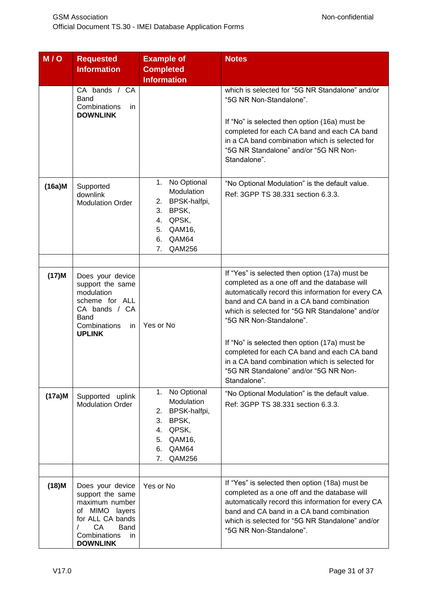| M/O       | <b>Requested</b><br><b>Information</b>                                                                                                                                 | <b>Example of</b><br><b>Completed</b><br><b>Information</b>                                                            | <b>Notes</b>                                                                                                                                                                                                                                                                                                                                                                                                                                                                               |
|-----------|------------------------------------------------------------------------------------------------------------------------------------------------------------------------|------------------------------------------------------------------------------------------------------------------------|--------------------------------------------------------------------------------------------------------------------------------------------------------------------------------------------------------------------------------------------------------------------------------------------------------------------------------------------------------------------------------------------------------------------------------------------------------------------------------------------|
|           | CA bands / CA<br>Band<br>Combinations<br>in.<br><b>DOWNLINK</b>                                                                                                        |                                                                                                                        | which is selected for "5G NR Standalone" and/or<br>"5G NR Non-Standalone".<br>If "No" is selected then option (16a) must be<br>completed for each CA band and each CA band<br>in a CA band combination which is selected for<br>"5G NR Standalone" and/or "5G NR Non-<br>Standalone".                                                                                                                                                                                                      |
| $(16a)$ M | Supported<br>downlink<br><b>Modulation Order</b>                                                                                                                       | 1. No Optional<br>Modulation<br>2. BPSK-halfpi,<br>3. BPSK,<br>4. QPSK,<br>5. QAM16,<br>QAM64<br>6.<br>7.<br>QAM256    | "No Optional Modulation" is the default value.<br>Ref: 3GPP TS 38.331 section 6.3.3.                                                                                                                                                                                                                                                                                                                                                                                                       |
| $(17)$ M  | Does your device<br>support the same<br>modulation<br>scheme for ALL<br>CA bands / CA<br>Band<br>Combinations<br>in.<br><b>UPLINK</b>                                  | Yes or No                                                                                                              | If "Yes" is selected then option (17a) must be<br>completed as a one off and the database will<br>automatically record this information for every CA<br>band and CA band in a CA band combination<br>which is selected for "5G NR Standalone" and/or<br>"5G NR Non-Standalone".<br>If "No" is selected then option (17a) must be<br>completed for each CA band and each CA band<br>in a CA band combination which is selected for<br>"5G NR Standalone" and/or "5G NR Non-<br>Standalone". |
| $(17a)$ M | Supported uplink<br><b>Modulation Order</b>                                                                                                                            | No Optional<br>1.<br>Modulation<br>2. BPSK-halfpi,<br>3. BPSK,<br>4. QPSK,<br>QAM16,<br>5.<br>6. QAM64<br>7.<br>QAM256 | "No Optional Modulation" is the default value.<br>Ref: 3GPP TS 38.331 section 6.3.3.                                                                                                                                                                                                                                                                                                                                                                                                       |
|           |                                                                                                                                                                        |                                                                                                                        |                                                                                                                                                                                                                                                                                                                                                                                                                                                                                            |
| $(18)$ M  | Does your device<br>support the same<br>maximum number<br>of MIMO layers<br>for ALL CA bands<br>CA<br><b>Band</b><br>$\prime$<br>Combinations<br>in<br><b>DOWNLINK</b> | Yes or No                                                                                                              | If "Yes" is selected then option (18a) must be<br>completed as a one off and the database will<br>automatically record this information for every CA<br>band and CA band in a CA band combination<br>which is selected for "5G NR Standalone" and/or<br>"5G NR Non-Standalone".                                                                                                                                                                                                            |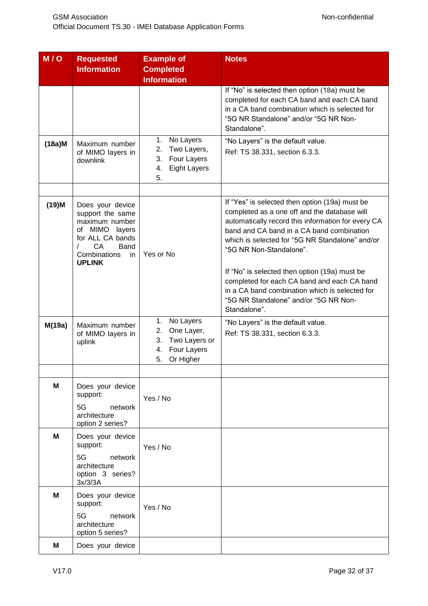| M/O       | <b>Requested</b><br><b>Information</b>                                                                                                             | <b>Example of</b><br><b>Completed</b><br><b>Information</b>                                        | <b>Notes</b>                                                                                                                                                                                                                                                                                                                                                                                                                                                                               |
|-----------|----------------------------------------------------------------------------------------------------------------------------------------------------|----------------------------------------------------------------------------------------------------|--------------------------------------------------------------------------------------------------------------------------------------------------------------------------------------------------------------------------------------------------------------------------------------------------------------------------------------------------------------------------------------------------------------------------------------------------------------------------------------------|
|           |                                                                                                                                                    |                                                                                                    | If "No" is selected then option (18a) must be<br>completed for each CA band and each CA band<br>in a CA band combination which is selected for<br>"5G NR Standalone" and/or "5G NR Non-<br>Standalone".                                                                                                                                                                                                                                                                                    |
| $(18a)$ M | Maximum number<br>of MIMO layers in<br>downlink                                                                                                    | No Layers<br>1.<br>2.<br>Two Layers,<br>Four Layers<br>3.<br><b>Eight Layers</b><br>4.<br>5.       | "No Layers" is the default value.<br>Ref: TS 38.331, section 6.3.3.                                                                                                                                                                                                                                                                                                                                                                                                                        |
| $(19)$ M  | Does your device<br>support the same<br>maximum number<br>of MIMO layers<br>for ALL CA bands<br>CA<br>Band<br>Combinations<br>in.<br><b>UPLINK</b> | Yes or No                                                                                          | If "Yes" is selected then option (19a) must be<br>completed as a one off and the database will<br>automatically record this information for every CA<br>band and CA band in a CA band combination<br>which is selected for "5G NR Standalone" and/or<br>"5G NR Non-Standalone".<br>If "No" is selected then option (19a) must be<br>completed for each CA band and each CA band<br>in a CA band combination which is selected for<br>"5G NR Standalone" and/or "5G NR Non-<br>Standalone". |
| M(19a)    | Maximum number<br>of MIMO layers in<br>uplink                                                                                                      | 1.<br>No Layers<br>One Layer,<br>2.<br>Two Layers or<br>3.<br>Four Layers<br>4.<br>5.<br>Or Higher | "No Layers" is the default value.<br>Ref: TS 38.331, section 6.3.3.                                                                                                                                                                                                                                                                                                                                                                                                                        |
|           |                                                                                                                                                    |                                                                                                    |                                                                                                                                                                                                                                                                                                                                                                                                                                                                                            |
| M         | Does your device<br>support:<br>5G<br>network<br>architecture<br>option 2 series?                                                                  | Yes / No                                                                                           |                                                                                                                                                                                                                                                                                                                                                                                                                                                                                            |
| M         | Does your device<br>support:<br>5G<br>network<br>architecture                                                                                      | Yes / No                                                                                           |                                                                                                                                                                                                                                                                                                                                                                                                                                                                                            |
|           | option 3 series?<br>3x/3/3A                                                                                                                        |                                                                                                    |                                                                                                                                                                                                                                                                                                                                                                                                                                                                                            |
| M         | Does your device<br>support:<br>5G<br>network<br>architecture<br>option 5 series?                                                                  | Yes / No                                                                                           |                                                                                                                                                                                                                                                                                                                                                                                                                                                                                            |
| M         | Does your device                                                                                                                                   |                                                                                                    |                                                                                                                                                                                                                                                                                                                                                                                                                                                                                            |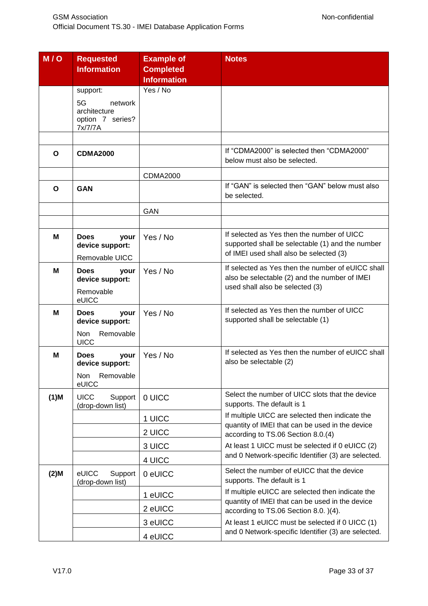| M/O     | <b>Requested</b><br><b>Information</b>                       | <b>Example of</b><br><b>Completed</b><br><b>Information</b> | <b>Notes</b>                                                                                                                              |
|---------|--------------------------------------------------------------|-------------------------------------------------------------|-------------------------------------------------------------------------------------------------------------------------------------------|
|         | support:                                                     | Yes / No                                                    |                                                                                                                                           |
|         | 5G<br>network<br>architecture<br>option 7 series?<br>7x/7/7A |                                                             |                                                                                                                                           |
|         |                                                              |                                                             |                                                                                                                                           |
| O       | <b>CDMA2000</b>                                              |                                                             | If "CDMA2000" is selected then "CDMA2000"<br>below must also be selected.                                                                 |
|         |                                                              | <b>CDMA2000</b>                                             |                                                                                                                                           |
| O       | <b>GAN</b>                                                   |                                                             | If "GAN" is selected then "GAN" below must also<br>be selected.                                                                           |
|         |                                                              | <b>GAN</b>                                                  |                                                                                                                                           |
|         |                                                              |                                                             |                                                                                                                                           |
| М       | <b>Does</b><br>your<br>device support:<br>Removable UICC     | Yes / No                                                    | If selected as Yes then the number of UICC<br>supported shall be selectable (1) and the number<br>of IMEI used shall also be selected (3) |
| м       | <b>Does</b><br>your<br>device support:<br>Removable          | Yes / No                                                    | If selected as Yes then the number of eUICC shall<br>also be selectable (2) and the number of IMEI<br>used shall also be selected (3)     |
|         | eUICC                                                        |                                                             |                                                                                                                                           |
| м       | <b>Does</b><br>your<br>device support:                       | Yes / No                                                    | If selected as Yes then the number of UICC<br>supported shall be selectable (1)                                                           |
|         | Removable<br><b>Non</b><br><b>UICC</b>                       |                                                             |                                                                                                                                           |
| M       | <b>Does</b><br>your<br>device support:                       | Yes / No                                                    | If selected as Yes then the number of eUICC shall<br>also be selectable (2)                                                               |
|         | Removable<br>Non<br>eUICC                                    |                                                             |                                                                                                                                           |
| $(1)$ M | <b>UICC</b><br>Support<br>(drop-down list)                   | 0 UICC                                                      | Select the number of UICC slots that the device<br>supports. The default is 1                                                             |
|         |                                                              | 1 UICC                                                      | If multiple UICC are selected then indicate the<br>quantity of IMEI that can be used in the device                                        |
|         |                                                              | 2 UICC                                                      | according to TS.06 Section 8.0.(4)                                                                                                        |
|         |                                                              | 3 UICC                                                      | At least 1 UICC must be selected if 0 eUICC (2)                                                                                           |
|         |                                                              | 4 UICC                                                      | and 0 Network-specific Identifier (3) are selected.                                                                                       |
| $(2)$ M | eUICC<br>Support<br>(drop-down list)                         | 0 eUICC                                                     | Select the number of eUICC that the device<br>supports. The default is 1                                                                  |
|         |                                                              | 1 eUICC                                                     | If multiple eUICC are selected then indicate the<br>quantity of IMEI that can be used in the device                                       |
|         |                                                              | 2 eUICC                                                     | according to TS.06 Section 8.0. )(4).                                                                                                     |
|         |                                                              | 3 eUICC                                                     | At least 1 eUICC must be selected if 0 UICC (1)                                                                                           |
|         |                                                              | 4 eUICC                                                     | and 0 Network-specific Identifier (3) are selected.                                                                                       |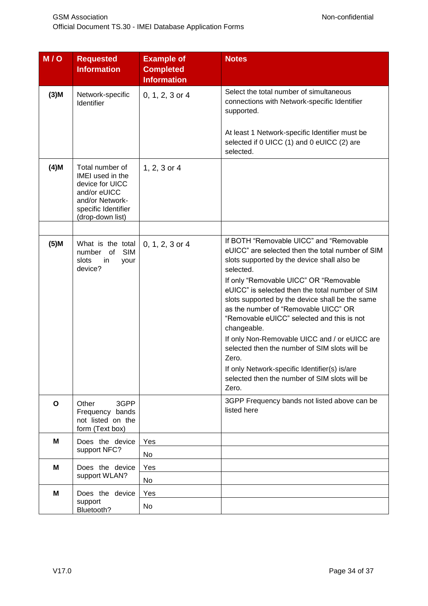| M/O          | <b>Requested</b><br><b>Information</b>                                                                                               | <b>Example of</b><br><b>Completed</b><br><b>Information</b> | <b>Notes</b>                                                                                                                                                                                                                                                                                                                                                                                                                                                                                                                                                                                                                       |
|--------------|--------------------------------------------------------------------------------------------------------------------------------------|-------------------------------------------------------------|------------------------------------------------------------------------------------------------------------------------------------------------------------------------------------------------------------------------------------------------------------------------------------------------------------------------------------------------------------------------------------------------------------------------------------------------------------------------------------------------------------------------------------------------------------------------------------------------------------------------------------|
| $(3)$ M      | Network-specific<br>Identifier                                                                                                       | 0, 1, 2, 3 or 4                                             | Select the total number of simultaneous<br>connections with Network-specific Identifier<br>supported.<br>At least 1 Network-specific Identifier must be<br>selected if 0 UICC (1) and 0 eUICC (2) are                                                                                                                                                                                                                                                                                                                                                                                                                              |
| $(4)$ M      | Total number of<br>IMEI used in the<br>device for UICC<br>and/or eUICC<br>and/or Network-<br>specific Identifier<br>(drop-down list) | $1, 2, 3$ or 4                                              | selected.                                                                                                                                                                                                                                                                                                                                                                                                                                                                                                                                                                                                                          |
|              |                                                                                                                                      |                                                             |                                                                                                                                                                                                                                                                                                                                                                                                                                                                                                                                                                                                                                    |
| $(5)$ M      | What is the total<br><b>SIM</b><br>of<br>number<br>slots<br>in<br>your<br>device?                                                    | $0, 1, 2, 3$ or 4                                           | If BOTH "Removable UICC" and "Removable<br>eUICC" are selected then the total number of SIM<br>slots supported by the device shall also be<br>selected.<br>If only "Removable UICC" OR "Removable<br>eUICC" is selected then the total number of SIM<br>slots supported by the device shall be the same<br>as the number of "Removable UICC" OR<br>"Removable eUICC" selected and this is not<br>changeable.<br>If only Non-Removable UICC and / or eUICC are<br>selected then the number of SIM slots will be<br>Zero.<br>If only Network-specific Identifier(s) is/are<br>selected then the number of SIM slots will be<br>Zero. |
| $\mathbf{o}$ | 3GPP<br>Other<br>Frequency bands<br>not listed on the<br>form (Text box)                                                             |                                                             | 3GPP Frequency bands not listed above can be<br>listed here                                                                                                                                                                                                                                                                                                                                                                                                                                                                                                                                                                        |
| M            | Does the device                                                                                                                      | Yes                                                         |                                                                                                                                                                                                                                                                                                                                                                                                                                                                                                                                                                                                                                    |
|              | support NFC?                                                                                                                         | No                                                          |                                                                                                                                                                                                                                                                                                                                                                                                                                                                                                                                                                                                                                    |
| M            | Does the device                                                                                                                      | Yes                                                         |                                                                                                                                                                                                                                                                                                                                                                                                                                                                                                                                                                                                                                    |
|              | support WLAN?                                                                                                                        | No                                                          |                                                                                                                                                                                                                                                                                                                                                                                                                                                                                                                                                                                                                                    |
| M            | Does the device<br>support<br>Bluetooth?                                                                                             | Yes<br>No                                                   |                                                                                                                                                                                                                                                                                                                                                                                                                                                                                                                                                                                                                                    |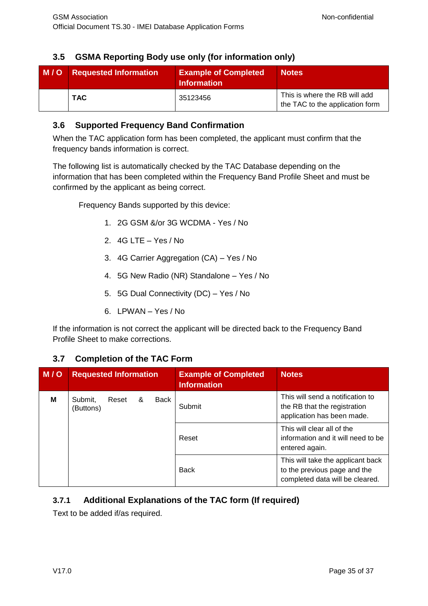# <span id="page-33-0"></span>**3.5 GSMA Reporting Body use only (for information only)**

| M/O | <b>Requested Information</b> | <b>Example of Completed</b><br><b>Information</b> | <b>Notes</b>                                                     |  |
|-----|------------------------------|---------------------------------------------------|------------------------------------------------------------------|--|
|     | <b>TAC</b>                   | 35123456                                          | This is where the RB will add<br>the TAC to the application form |  |

#### <span id="page-33-1"></span>**3.6 Supported Frequency Band Confirmation**

When the TAC application form has been completed, the applicant must confirm that the frequency bands information is correct.

The following list is automatically checked by the TAC Database depending on the information that has been completed within the Frequency Band Profile Sheet and must be confirmed by the applicant as being correct.

Frequency Bands supported by this device:

- 1. 2G GSM &/or 3G WCDMA Yes / No
- 2. 4G LTE Yes / No
- 3. 4G Carrier Aggregation (CA) Yes / No
- 4. 5G New Radio (NR) Standalone Yes / No
- 5. 5G Dual Connectivity (DC) Yes / No
- 6. LPWAN Yes / No

If the information is not correct the applicant will be directed back to the Frequency Band Profile Sheet to make corrections.

## <span id="page-33-2"></span>**3.7 Completion of the TAC Form**

| M/O | <b>Requested Information</b> |       |   |      | <b>Example of Completed</b><br><b>Information</b> | <b>Notes</b>                                                                                         |
|-----|------------------------------|-------|---|------|---------------------------------------------------|------------------------------------------------------------------------------------------------------|
| м   | Submit,<br>(Buttons)         | Reset | & | Back | Submit                                            | This will send a notification to<br>the RB that the registration<br>application has been made.       |
|     |                              |       |   |      | Reset                                             | This will clear all of the<br>information and it will need to be<br>entered again.                   |
|     |                              |       |   |      | <b>Back</b>                                       | This will take the applicant back<br>to the previous page and the<br>completed data will be cleared. |

#### <span id="page-33-3"></span>**3.7.1 Additional Explanations of the TAC form (If required)**

Text to be added if/as required.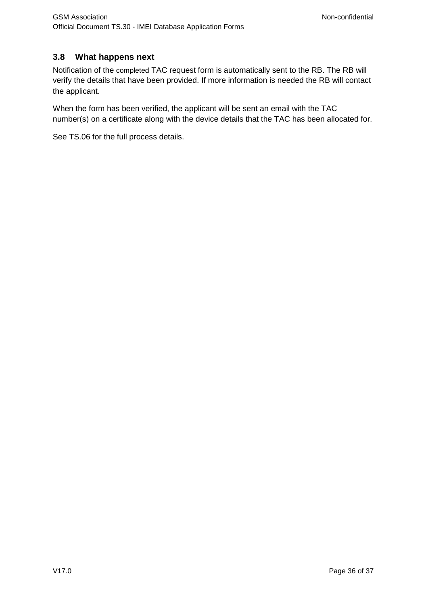## <span id="page-34-0"></span>**3.8 What happens next**

Notification of the completed TAC request form is automatically sent to the RB. The RB will verify the details that have been provided. If more information is needed the RB will contact the applicant.

When the form has been verified, the applicant will be sent an email with the TAC number(s) on a certificate along with the device details that the TAC has been allocated for.

See TS.06 for the full process details.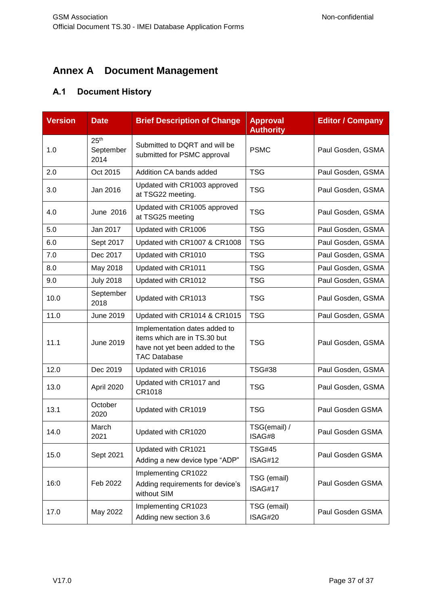# <span id="page-35-0"></span>**Annex A Document Management**

# <span id="page-35-1"></span>**A.1 Document History**

| <b>Version</b> | <b>Date</b>                           | <b>Brief Description of Change</b>                                                                                     | <b>Approval</b><br><b>Authority</b> | <b>Editor / Company</b> |
|----------------|---------------------------------------|------------------------------------------------------------------------------------------------------------------------|-------------------------------------|-------------------------|
| 1.0            | 25 <sup>th</sup><br>September<br>2014 | Submitted to DQRT and will be<br>submitted for PSMC approval                                                           | <b>PSMC</b>                         | Paul Gosden, GSMA       |
| 2.0            | Oct 2015                              | Addition CA bands added                                                                                                | <b>TSG</b>                          | Paul Gosden, GSMA       |
| 3.0            | Jan 2016                              | Updated with CR1003 approved<br>at TSG22 meeting.                                                                      | <b>TSG</b>                          | Paul Gosden, GSMA       |
| 4.0            | June 2016                             | Updated with CR1005 approved<br>at TSG25 meeting                                                                       | <b>TSG</b>                          | Paul Gosden, GSMA       |
| 5.0            | Jan 2017                              | Updated with CR1006                                                                                                    | <b>TSG</b>                          | Paul Gosden, GSMA       |
| 6.0            | Sept 2017                             | Updated with CR1007 & CR1008                                                                                           | <b>TSG</b>                          | Paul Gosden, GSMA       |
| 7.0            | Dec 2017                              | Updated with CR1010                                                                                                    | <b>TSG</b>                          | Paul Gosden, GSMA       |
| 8.0            | May 2018                              | Updated with CR1011                                                                                                    | <b>TSG</b>                          | Paul Gosden, GSMA       |
| 9.0            | <b>July 2018</b>                      | Updated with CR1012                                                                                                    | <b>TSG</b>                          | Paul Gosden, GSMA       |
| 10.0           | September<br>2018                     | Updated with CR1013                                                                                                    | <b>TSG</b>                          | Paul Gosden, GSMA       |
| 11.0           | <b>June 2019</b>                      | Updated with CR1014 & CR1015                                                                                           | <b>TSG</b>                          | Paul Gosden, GSMA       |
| 11.1           | June 2019                             | Implementation dates added to<br>items which are in TS.30 but<br>have not yet been added to the<br><b>TAC Database</b> | <b>TSG</b>                          | Paul Gosden, GSMA       |
| 12.0           | Dec 2019                              | Updated with CR1016                                                                                                    | <b>TSG#38</b>                       | Paul Gosden, GSMA       |
| 13.0           | April 2020                            | Updated with CR1017 and<br>CR1018                                                                                      | <b>TSG</b>                          | Paul Gosden, GSMA       |
| 13.1           | October<br>2020                       | Updated with CR1019                                                                                                    | <b>TSG</b>                          | Paul Gosden GSMA        |
| 14.0           | March<br>2021                         | Updated with CR1020                                                                                                    | TSG(email) /<br>ISAG#8              | Paul Gosden GSMA        |
| 15.0           | Sept 2021                             | Updated with CR1021<br>Adding a new device type "ADP"                                                                  | <b>TSG#45</b><br>ISAG#12            | Paul Gosden GSMA        |
| 16:0           | Feb 2022                              | Implementing CR1022<br>Adding requirements for device's<br>without SIM                                                 | TSG (email)<br>ISAG#17              | Paul Gosden GSMA        |
| 17.0           | May 2022                              | Implementing CR1023<br>Adding new section 3.6                                                                          | TSG (email)<br>ISAG#20              | Paul Gosden GSMA        |